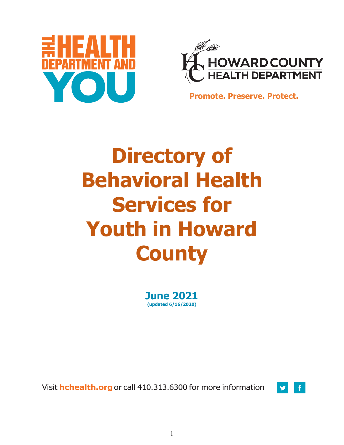



**Promote. Preserve. Protect.**

# **Directory of Behavioral Health Services for Youth in Howard County**

**June 2021 (updated 6/16/2020)**

Visit **hchealth.org** or call 410.313.6300 for more information

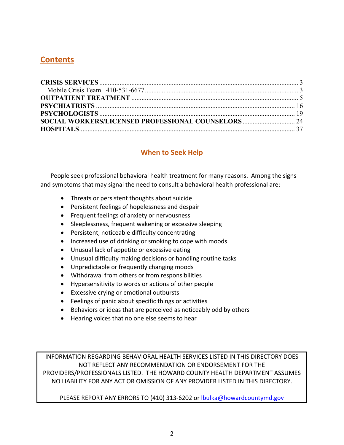# **Contents**

# **When to Seek Help**

People seek professional behavioral health treatment for many reasons. Among the signs and symptoms that may signal the need to consult a behavioral health professional are:

- Threats or persistent thoughts about suicide
- Persistent feelings of hopelessness and despair
- Frequent feelings of anxiety or nervousness
- Sleeplessness, frequent wakening or excessive sleeping
- Persistent, noticeable difficulty concentrating
- Increased use of drinking or smoking to cope with moods
- Unusual lack of appetite or excessive eating
- Unusual difficulty making decisions or handling routine tasks
- Unpredictable or frequently changing moods
- Withdrawal from others or from responsibilities
- Hypersensitivity to words or actions of other people
- Excessive crying or emotional outbursts
- Feelings of panic about specific things or activities
- Behaviors or ideas that are perceived as noticeably odd by others
- Hearing voices that no one else seems to hear

INFORMATION REGARDING BEHAVIORAL HEALTH SERVICES LISTED IN THIS DIRECTORY DOES NOT REFLECT ANY RECOMMENDATION OR ENDORSEMENT FOR THE PROVIDERS/PROFESSIONALS LISTED. THE HOWARD COUNTY HEALTH DEPARTMENT ASSUMES NO LIABILITY FOR ANY ACT OR OMISSION OF ANY PROVIDER LISTED IN THIS DIRECTORY.

PLEASE REPORT ANY ERRORS TO (410) 313-6202 or [lbulka@howardcountymd.gov](mailto:lbulka@howardcountymd.gov)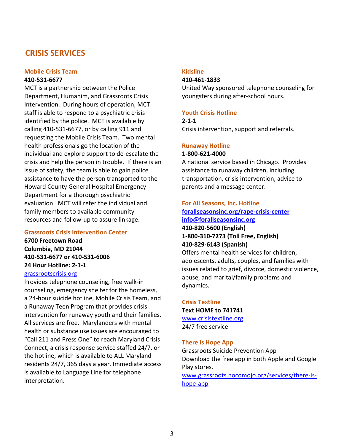# <span id="page-2-0"></span>**CRISIS SERVICES**

# <span id="page-2-1"></span>**Mobile Crisis Team 410-531-6677**

MCT is a partnership between the Police Department, Humanim, and Grassroots Crisis Intervention. During hours of operation, MCT staff is able to respond to a psychiatric crisis identified by the police. MCT is available by calling 410-531-6677, or by calling 911 and requesting the Mobile Crisis Team. Two mental health professionals go the location of the individual and explore support to de-escalate the crisis and help the person in trouble. If there is an issue of safety, the team is able to gain police assistance to have the person transported to the Howard County General Hospital Emergency Department for a thorough psychiatric evaluation. MCT will refer the individual and family members to available community resources and follow-up to assure linkage.

### **Grassroots Crisis Intervention Center**

**6700 Freetown Road Columbia, MD 21044 410-531-6677 or 410-531-6006 24 Hour Hotline: 2-1-1** [grassrootscrisis.org](https://grassrootscrisis.org/)

Provides telephone counseling, free walk-in counseling, emergency shelter for the homeless, a 24-hour suicide hotline, Mobile Crisis Team, and a Runaway Teen Program that provides crisis intervention for runaway youth and their families. All services are free. Marylanders with mental health or substance use issues are encouraged to "Call 211 and Press One" to reach Maryland Crisis Connect, a crisis response service staffed 24/7, or the hotline, which is available to ALL Maryland residents 24/7, 365 days a year. Immediate access is available to Language Line for telephone interpretation.

# **Kidsline**

# **410-461-1833**

United Way sponsored telephone counseling for youngsters during after-school hours.

### **Youth Crisis Hotline**

**2-1-1** Crisis intervention, support and referrals.

# **Runaway Hotline**

# **1-800-621-4000**

A national service based in Chicago. Provides assistance to runaway children, including transportation, crisis intervention, advice to parents and a message center.

### **For All Seasons, Inc. Hotline**

# **[forallseasonsinc.org/rape-crisis-center](http://www.forallseasonsinc.org/rape-crisis-center) [info@forallseasonsinc.org](mailto:info@forallseasonsinc.org) 410-820-5600 (English) 1-800-310-7273 (Toll Free, English) 410-829-6143 (Spanish)**

Offers mental health services for children, adolescents, adults, couples, and families with issues related to grief, divorce, domestic violence, abuse, and marital/family problems and dynamics.

# **Crisis Textline Text HOME to 741741** [www.crisistextline.org](http://www.crisistextline.org/)

24/7 free service

### **There is Hope App**

Grassroots Suicide Prevention App Download the free app in both Apple and Google Play stores. [www.grassroots.hocomojo.org/services/there-is-](http://www.grassroots.hocomojo.org/services/there-is-hope-app)

[hope-app](http://www.grassroots.hocomojo.org/services/there-is-hope-app)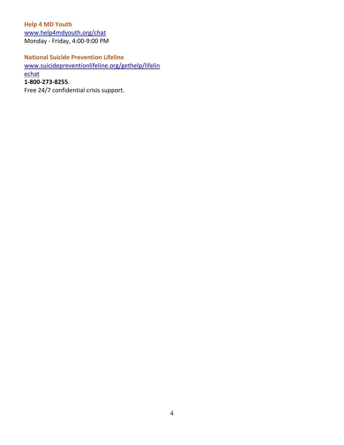**Help 4 MD Youth** [www.help4mdyouth.org/chat](http://www.help4mdyouth.org/chat) Monday - Friday, 4:00-9:00 PM

# **National Suicide Prevention Lifeline**

[www.suicidepreventionlifeline.org/gethelp/lifelin](http://www.suicidepreventionlifeline.org/gethelp/lifelinechat)

[echat](http://www.suicidepreventionlifeline.org/gethelp/lifelinechat)

**1-800-273-8255**.

Free 24/7 confidential crisis support.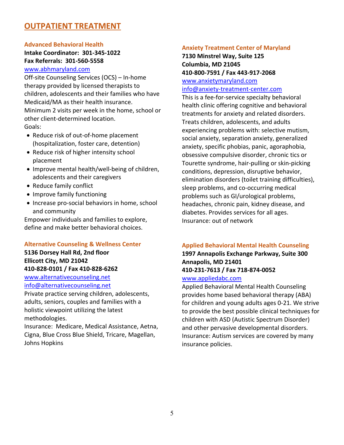# <span id="page-4-0"></span>**OUTPATIENT TREATMENT**

# **Advanced Behavioral Health Intake Coordinator: 301-345-1022 Fax Referrals: 301-560-5558**

# [www.abhmaryland.com](http://www.abhmaryland.com/)

Off-site Counseling Services (OCS) – In-home therapy provided by licensed therapists to children, adolescents and their families who have Medicaid/MA as their health insurance. Minimum 2 visits per week in the home, school or other client-determined location. Goals:

- Reduce risk of out-of-home placement (hospitalization, foster care, detention)
- Reduce risk of higher intensity school placement
- Improve mental health/well-being of children, adolescents and their caregivers
- Reduce family conflict
- Improve family functioning
- Increase pro-social behaviors in home, school and community

Empower individuals and families to explore, define and make better behavioral choices.

# **Alternative Counseling & Wellness Center**

# **5136 Dorsey Hall Rd, 2nd floor Ellicott City, MD 21042 410-828-0101 / Fax 410-828-6262**

[www.alternativecounseling.net](http://www.alternativecounseling.net/) [info@alternativecounseling.net](mailto:info@alternativecounseling.net)

Private practice serving children, adolescents, adults, seniors, couples and families with a holistic viewpoint utilizing the latest methodologies.

Insurance: Medicare, Medical Assistance, Aetna, Cigna, Blue Cross Blue Shield, Tricare, Magellan, Johns Hopkins

### **Anxiety Treatment Center of Maryland**

# **7130 Minstrel Way, Suite 125 Columbia, MD 21045 410-800-7591 / Fax 443-917-2068**

### [www.anxietymaryland.com](http://www.anxietymaryland.com/)  [info@anxiety-treatment-center.com](mailto:info@anxiety-treatment-center.com)

This is a fee-for-service specialty behavioral health clinic offering cognitive and behavioral treatments for anxiety and related disorders. Treats children, adolescents, and adults experiencing problems with: selective mutism, social anxiety, separation anxiety, generalized anxiety, specific phobias, panic, agoraphobia, obsessive compulsive disorder, chronic tics or Tourette syndrome, hair-pulling or skin-picking conditions, depression, disruptive behavior, elimination disorders (toilet training difficulties), sleep problems, and co-occurring medical problems such as GI/urological problems, headaches, chronic pain, kidney disease, and diabetes. Provides services for all ages. Insurance: out of network

# **Applied Behavioral Mental Health Counseling**

# **1997 Annapolis Exchange Parkway, Suite 300 Annapolis, MD 21401 410-231-7613 / Fax 718-874-0052**

### [www.appliedabc.com](http://www.appliedabc.com/)

Applied Behavioral Mental Health Counseling provides home based behavioral therapy (ABA) for children and young adults ages 0-21. We strive to provide the best possible clinical techniques for children with ASD (Autistic Spectrum Disorder) and other pervasive developmental disorders. Insurance: Autism services are covered by many insurance policies.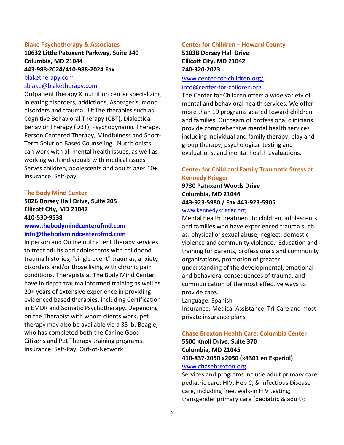### **Blake Psychotherapy & Associates**

**10632 Little Patuxent Parkway, Suite 340 Columbia, MD 21044 443-988-2024/410-988-2024 Fax** [blaketherapy.com](https://blaketherapy.com/)

[sblake@blaketherapy.com](mailto:sblake@blaketherapy.com)

Outpatient therapy & nutrition center specializing in eating disorders, addictions, Asperger's, mood disorders and trauma. Utilize therapies such as Cognitive Behavioral Therapy (CBT), Dialectical Behavior Therapy (DBT), Psychodynamic Therapy, Person Centered Therapy, Mindfulness and Short-Term Solution Based Counseling. Nutritionists can work with all mental health issues, as well as working with individuals with medical issues. Serves children, adolescents and adults ages 10+. Insurance: Self-pay

#### **The Body Mind Center**

# **5026 Dorsey Hall Drive, Suite 205 Ellicott City, MD 21042 410-530-9538**

# **[www.thebodymindcenterofmd.com](http://www.thebodymindcenterofmd.com/) [info@thebodymindcenterofmd.com](mailto:info@thebodymindcenterofmd.com)**

In person and Online outpatient therapy services to treat adults and adolescents with childhood trauma histories, "single event" traumas, anxiety disorders and/or those living with chronic pain conditions. Therapists at The Body Mind Center have in depth trauma informed training as well as 20+ years of extensive experience in providing evidenced based therapies, including Certification in EMDR and Somatic Psychotherapy. Depending on the Therapist with whom clients work, pet therapy may also be available via a 35 lb. Beagle, who has completed both the Canine Good Citizens and Pet Therapy training programs. Insurance: Self-Pay, Out-of-Network

#### **Center for Children – Howard County**

**5103B Dorsey Hall Drive Ellicott City, MD 21042 240-320-2023**

### [www.center-for-children.org/](http://www.center-for-children.org/) [info@center-for-children.org](mailto:info@center-for-children.org)

The Center for Children offers a wide variety of mental and behavioral health services. We offer more than 19 programs geared toward children and families. Our team of professional clinicians provide comprehensive mental health services including individual and family therapy, play and group therapy, psychological testing and evaluations, and mental health evaluations.

# **Center for Child and Family Trauma�c Stress at Kennedy Krieger**

# **9730 Patuxent Woods Drive Columbia, MD 21046 443-923-5980 / Fax 443-923-5905**  [www.kennedykrieger.org](https://www.kennedykrieger.org/patient-care/centers-and-programs/traumatic-stress-center)

Mental health treatment to children, adolescents and families who have experienced trauma such as: physical or sexual abuse, neglect, domestic violence and community violence. Education and training for parents, professionals and community organizations, promotion of greater understanding of the developmental, emotional and behavioral consequences of trauma, and communication of the most effective ways to provide care**.** 

Language: Spanish

Insurance: Medical Assistance, Tri-Care and most private insurance plans

# **Chase Brexton Health Care: Columbia Center**

**5500 Knoll Drive, Suite 370 Columbia, MD 21045 410-837-2050 x2050 (x4301 en Español)** [www.chasebrexton.org](https://www.chasebrexton.org/)

Services and programs include adult primary care; pediatric care; HIV, Hep C, & Infectious Disease care, including free, walk-in HIV testing; transgender primary care (pediatric & adult);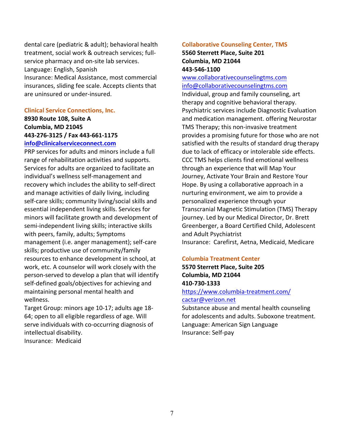dental care (pediatric & adult); behavioral health treatment, social work & outreach services; fullservice pharmacy and on-site lab services. Language: English, Spanish Insurance: Medical Assistance, most commercial insurances, sliding fee scale. Accepts clients that are uninsured or under-insured.

### **Clinical Service Connections, Inc.**

# **8930 Route 108, Suite A Columbia, MD 21045 443-276-3125 / Fax 443-661-1175 [info@clinicalserviceconnect.com](mailto:info@clinicalserviceconnect.com)**

PRP services for adults and minors include a full range of rehabilitation activities and supports. Services for adults are organized to facilitate an individual's wellness self-management and recovery which includes the ability to self-direct and manage activities of daily living, including self-care skills; community living/social skills and essential independent living skills. Services for minors will facilitate growth and development of semi-independent living skills; interactive skills with peers, family, adults; Symptoms management (i.e. anger management); self-care skills; productive use of community/family resources to enhance development in school, at work, etc. A counselor will work closely with the person-served to develop a plan that will identify self-defined goals/objectives for achieving and maintaining personal mental health and wellness.

Target Group: minors age 10-17; adults age 18- 64; open to all eligible regardless of age. Will serve individuals with co-occurring diagnosis of intellectual disability. Insurance: Medicaid

### **Collaborative Counseling Center, TMS 5560 Sterrett Place, Suite 201**

# **Columbia, MD 21044 443-546-1100**

[www.collaborativecounselingtms.com](http://www.collaborativecounselingtms.com/) [info@collaborativecounselingtms.com](mailto:info@collaborativecounselingtms.com)

Individual, group and family counseling, art therapy and cognitive behavioral therapy. Psychiatric services include Diagnostic Evaluation and medication management. offering Neurostar TMS Therapy; this non-invasive treatment provides a promising future for those who are not satisfied with the results of standard drug therapy due to lack of efficacy or intolerable side effects. CCC TMS helps clients find emotional wellness through an experience that will Map Your Journey, Activate Your Brain and Restore Your Hope. By using a collaborative approach in a nurturing environment, we aim to provide a personalized experience through your Transcranial Magnetic Stimulation (TMS) Therapy journey. Led by our Medical Director, Dr. Brett Greenberger, a Board Certified Child, Adolescent and Adult Psychiatrist Insurance: Carefirst, Aetna, Medicaid, Medicare

# **Columbia Treatment Center**

**5570 Sterrett Place, Suite 205 Columbia, MD 21044 410-730-1333** <https://www.columbia-treatment.com/> [cactar@verizon.net](mailto:cactar@verizon.net)

Substance abuse and mental health counseling for adolescents and adults. Suboxone treatment. Language: American Sign Language Insurance: Self-pay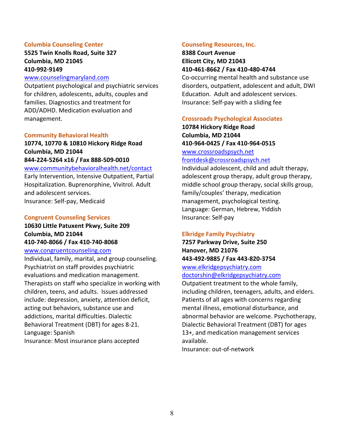### **Columbia Counseling Center**

## **5525 Twin Knolls Road, Suite 327 Columbia, MD 21045 410-992-9149**

### [www.counselingmaryland.com](http://www.counselingmaryland.com/)

Outpatient psychological and psychiatric services for children, adolescents, adults, couples and families. Diagnostics and treatment for ADD/ADHD. Medication evaluation and management.

### **Community Behavioral Health**

# **10774, 10770 & 10810 Hickory Ridge Road Columbia, MD 21044**

### **844-224-5264 x16 / Fax 888-509-0010**  [www.communitybehavioralhealth.net/contact](http://www.communitybehavioralhealth.net/contact)

Early Intervention, Intensive Outpatient, Partial Hospitalization. Buprenorphine, Vivitrol. Adult and adolescent services. Insurance: Self-pay, Medicaid

### **Congruent Counseling Services**

# **10630 Little Patuxent Pkwy, Suite 209 Columbia, MD 21044 410-740-8066 / Fax 410-740-8068**

### [www.congruentcounseling.com](http://www.congruentcounseling.com/)

Individual, family, marital, and group counseling. Psychiatrist on staff provides psychiatric evaluations and medication management. Therapists on staff who specialize in working with children, teens, and adults. Issues addressed include: depression, anxiety, attention deficit, acting out behaviors, substance use and addictions, marital difficulties. Dialectic Behavioral Treatment (DBT) for ages 8-21. Language: Spanish Insurance: Most insurance plans accepted

### **Counseling Resources, Inc.**

# **8388 Court Avenue Ellicott City, MD 21043 410-461-8662 / Fax 410-480-4744**

Co-occurring mental health and substance use disorders, outpatient, adolescent and adult, DWI Education. Adult and adolescent services. Insurance: Self-pay with a sliding fee

### **Crossroads Psychological Associates**

**10784 Hickory Ridge Road Columbia, MD 21044 410-964-0425 / Fax 410-964-0515** [www.crossroadspsych.net](https://www.crossroadspsych.net/)

### [frontdesk@crossroadspsych.net](mailto:frontdesk@crossroadspsych.net)

Individual adolescent, child and adult therapy, adolescent group therapy, adult group therapy, middle school group therapy, social skills group, family/couples' therapy, medication management, psychological testing. Language: German, Hebrew, Yiddish Insurance: Self-pay

### **Elkridge Family Psychiatry**

**7257 Parkway Drive, Suite 250 Hanover, MD 21076 443-492-9885 / Fax 443-820-3754**  [www.elkridgepsychiatry.com](http://www.elkridgepsychiatry.com/)

[doctorshin@elkridgepsychiatry.com](mailto:doctorshin@elkridgepsychiatry.com)

Outpatient treatment to the whole family, including children, teenagers, adults, and elders. Patients of all ages with concerns regarding mental illness, emotional disturbance, and abnormal behavior are welcome. Psychotherapy, Dialectic Behavioral Treatment (DBT) for ages 13+, and medication management services available.

Insurance: out-of-network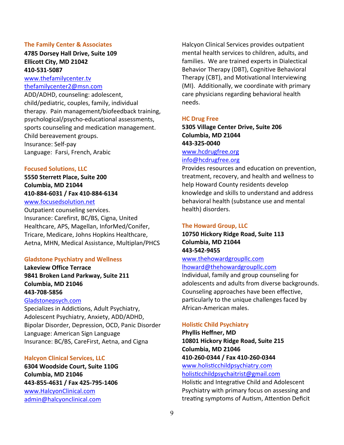### **The Family Center & Associates**

### **4785 Dorsey Hall Drive, Suite 109 Ellicott City, MD 21042 410-531-5087**

[www.thefamilycenter.tv](http://www.thefamilycenter.tv/) [thefamilycenter2@msn.com](mailto:thefamilycenter2@msn.com)

ADD/ADHD, counseling: adolescent, child/pediatric, couples, family, individual therapy. Pain management/biofeedback training, psychological/psycho-educational assessments, sports counseling and medication management. Child bereavement groups. Insurance: Self-pay Language: Farsi, French, Arabic

### **Focused Solutions, LLC**

**5550 Sterrett Place, Suite 200 Columbia, MD 21044 410-884-6031 / Fax 410-884-6134**  [www.focusedsolution.net](http://www.focusedsolution.net/)

Outpatient counseling services. Insurance: Carefirst, BC/BS, Cigna, United Healthcare, APS, Magellan, InforMed/Conifer, Tricare, Medicare, Johns Hopkins Healthcare, Aetna, MHN, Medical Assistance, Multiplan/PHCS

#### **Gladstone Psychiatry and Wellness**

**Lakeview Office Terrace 9841 Broken Land Parkway, Suite 211 Columbia, MD 21046 443-708-5856**

### [Gladstonepsych.com](http://www.gladstonepsych.com/)

Specializes in Addictions, Adult Psychiatry, Adolescent Psychiatry, Anxiety, ADD/ADHD, Bipolar Disorder, Depression, OCD, Panic Disorder Language: American Sign Language Insurance: BC/BS, CareFirst, Aetna, and Cigna

### **Halcyon Clinical Services, LLC**

**6304 Woodside Court, Suite 110G Columbia, MD 21046 443-855-4631 / Fax 425-795-1406** [www.HalcyonClinical.com](http://www.halcyonclinical.com/) [admin@halcyonclinical.com](mailto:admin@halcyonclinical.com)

Halcyon Clinical Services provides outpatient mental health services to children, adults, and families. We are trained experts in Dialectical Behavior Therapy (DBT), Cognitive Behavioral Therapy (CBT), and Motivational Interviewing (MI). Additionally, we coordinate with primary care physicians regarding behavioral health needs.

### **HC Drug Free**

**5305 Village Center Drive, Suite 206 Columbia, MD 21044 443-325-0040** [www.hcdrugfree.org](http://www.hcdrugfree.org/) [info@hcdrugfree.org](mailto:info@hcdrugfree.org)

Provides resources and education on prevention, treatment, recovery, and health and wellness to help Howard County residents develop knowledge and skills to understand and address behavioral health (substance use and mental health) disorders.

### **The Howard Group, LLC**

**10750 Hickory Ridge Road, Suite 113 Columbia, MD 21044 443-542-9455**

# [www.thehowardgroupllc.com](http://www.thehowardgroupllc.com/) lhoward@thehowardgroupllc.com

Individual, family and group counseling for adolescents and adults from diverse backgrounds. Counseling approaches have been effective, particularly to the unique challenges faced by African-American males.

### **Holis�c Child Psychiatry**

**Phyllis Heffner, MD 10801 Hickory Ridge Road, Suite 215 Columbia, MD 21046 410-260-0344 / Fax 410-260-0344**  [www.holis�cchildpsychiatry.com](http://www.holisticchildpsychiatry.com/) [holis�cchildpsychaitrist@gmail.com](mailto:holisticchildpsychaitrist@gmail.com)

Holistic and Integrative Child and Adolescent Psychiatry with primary focus on assessing and treating symptoms of Autism, Attention Deficit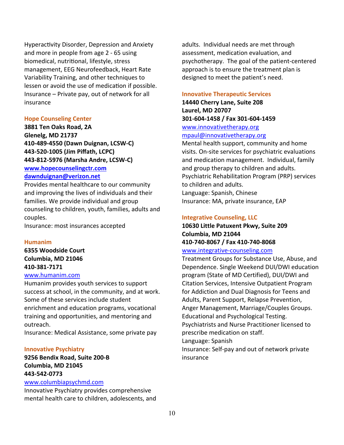Hyperactivity Disorder, Depression and Anxiety and more in people from age 2 - 65 using biomedical, nutritional, lifestyle, stress management, EEG Neurofeedback, Heart Rate Variability Training, and other techniques to lessen or avoid the use of medication if possible. Insurance – Private pay, out of network for all insurance

### **Hope Counseling Center**

**3881 Ten Oaks Road, 2A Glenelg, MD 21737 410-489-4550 (Dawn Duignan, LCSW-C) 443-520-1005 (Jim Piffath, LCPC) 443-812-5976 (Marsha Andre, LCSW-C) [www.hopecounselingctr.com](http://www.hopecounselingctr.com/) [dawnduignan@verizon.net](mailto:dawnduignan@verizon.net)**

Provides mental healthcare to our community and improving the lives of individuals and their families. We provide individual and group counseling to children, youth, families, adults and couples.

Insurance: most insurances accepted

### **Humanim**

**6355 Woodside Court Columbia, MD 21046 410-381-7171**

# [www.humanim.com](http://www.humanim.com/)

Humanim provides youth services to support success at school, in the community, and at work. Some of these services include student enrichment and education programs, vocational training and opportunities, and mentoring and outreach.

Insurance: Medical Assistance, some private pay

### **Innovative Psychiatry**

# **9256 Bendix Road, Suite 200-B Columbia, MD 21045 443-542-0773**

### [www.columbiapsychmd.com](http://www.columbiapsychmd.com/)

Innovative Psychiatry provides comprehensive mental health care to children, adolescents, and adults. Individual needs are met through assessment, medication evaluation, and psychotherapy. The goal of the patient-centered approach is to ensure the treatment plan is designed to meet the patient's need.

### **Innovative Therapeutic Services**

**14440 Cherry Lane, Suite 208 Laurel, MD 20707 301-604-1458 / Fax 301-604-1459**  [www.innovativetherapy.org](http://www.innovativetherapy.org/) [mpaul@innovativetherapy.org](mailto:mpaul@innovativetherapy.org)

Mental health support, community and home visits. On-site services for psychiatric evaluations and medication management. Individual, family and group therapy to children and adults. Psychiatric Rehabilitation Program (PRP) services to children and adults. Language: Spanish, Chinese Insurance: MA, private insurance, EAP

### **Integrative Counseling, LLC**

**10630 Little Patuxent Pkwy, Suite 209 Columbia, MD 21044 410-740-8067 / Fax 410-740-8068** 

### [www.integrative-counseling.com](http://www.integrative-counseling.com/)

Treatment Groups for Substance Use, Abuse, and Dependence. Single Weekend DUI/DWI education program (State of MD Certified), DUI/DWI and Citation Services, Intensive Outpatient Program for Addiction and Dual Diagnosis for Teens and Adults, Parent Support, Relapse Prevention, Anger Management, Marriage/Couples Groups. Educational and Psychological Testing. Psychiatrists and Nurse Practitioner licensed to prescribe medication on staff. Language: Spanish Insurance: Self-pay and out of network private insurance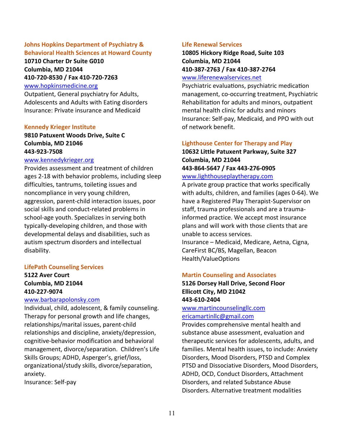# **Johns Hopkins Department of Psychiatry & Behavioral Health Sciences at Howard County**

**10710 Charter Dr Suite G010 Columbia, MD 21044 410-720-8530 / Fax 410-720-7263** 

### [www.hopkinsmedicine.org](https://www.hopkinsmedicine.org/howard_county_general_hospital/services/psychiatry/)

Outpatient, General psychiatry for Adults, Adolescents and Adults with Eating disorders Insurance: Private insurance and Medicaid

### **Kennedy Krieger Institute**

# **9810 Patuxent Woods Drive, Suite C Columbia, MD 21046 443-923-7508**

### [www.kennedykrieger.org](http://www.kennedykrieger.org/)

Provides assessment and treatment of children ages 2-18 with behavior problems, including sleep difficulties, tantrums, toileting issues and noncompliance in very young children, aggression, parent-child interaction issues, poor social skills and conduct-related problems in school-age youth. Specializes in serving both typically-developing children, and those with developmental delays and disabilities, such as autism spectrum disorders and intellectual disability.

### **LifePath Counseling Services**

# **5122 Aver Court Columbia, MD 21044 410-227-9074**

### [www.barbarapolonsky.com](http://www.barbarapolonsky.com/)

Individual, child, adolescent, & family counseling. Therapy for personal growth and life changes, relationships/marital issues, parent-child relationships and discipline, anxiety/depression, cognitive-behavior modification and behavioral management, divorce/separation. Children's Life Skills Groups; ADHD, Asperger's, grief/loss, organizational/study skills, divorce/separation, anxiety.

Insurance: Self-pay

### **Life Renewal Services**

# **10805 Hickory Ridge Road, Suite 103 Columbia, MD 21044 410-387-2763 / Fax 410-387-2764**  [www.liferenewalservices.net](http://www.liferenewalservices.net/)

Psychiatric evaluations, psychiatric medication management, co-occurring treatment, Psychiatric Rehabilitation for adults and minors, outpatient mental health clinic for adults and minors Insurance: Self-pay, Medicaid, and PPO with out of network benefit.

# **Lighthouse Center for Therapy and Play 10632 Little Patuxent Parkway, Suite 327 Columbia, MD 21044 443-864-5647 / Fax 443-276-0905**

### [www.lighthouseplaytherapy.com](http://www.lighthouseplaytherapy.com/)

A private group practice that works specifically with adults, children, and families (ages 0-64). We have a Registered Play Therapist-Supervisor on staff, trauma professionals and are a traumainformed practice. We accept most insurance plans and will work with those clients that are unable to access services.

Insurance – Medicaid, Medicare, Aetna, Cigna, CareFirst BC/BS, Magellan, Beacon Health/ValueOptions

### **Martin Counseling and Associates**

# **5126 Dorsey Hall Drive, Second Floor Ellicott City, MD 21042 443-610-2404**

# [www.martincounselingllc.com](http://www.martincounselingllc.com/) [ericamartinllc@gmail.com](mailto:ericamartinllc@gmail.com)

Provides comprehensive mental health and substance abuse assessment, evaluation and therapeutic services for adolescents, adults, and families. Mental health issues, to include: Anxiety Disorders, Mood Disorders, PTSD and Complex PTSD and Dissociative Disorders, Mood Disorders, ADHD, OCD, Conduct Disorders, Attachment Disorders, and related Substance Abuse Disorders. Alternative treatment modalities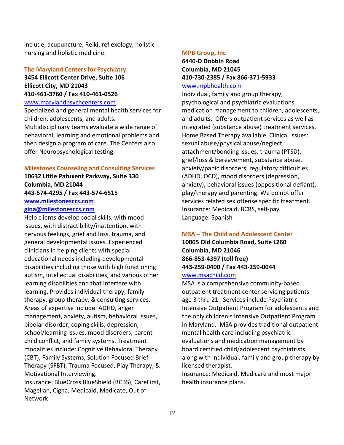include, acupuncture, Reiki, reflexology, holistic nursing and holistic medicine.

### **The Maryland Centers for Psychiatry**

# **3454 Ellicott Center Drive, Suite 106 Ellicott City, MD 21043 410-461-3760 / Fax 410-461-0526**

### [www.marylandpsychcenters.com](http://www.marylandpsychcenters.com/)

Specialized and general mental health services for children, adolescents, and adults. Multidisciplinary teams evaluate a wide range of behavioral, learning and emotional problems and then design a program of care. The Centers also offer Neuropsychological testing.

### **Milestones Counseling and Consulting Services**

# **10632 Little Patuxent Parkway, Suite 330 Columbia, MD 21044 443-574-4295 / Fax 443-574-6515 [www.milestonesccs.com](http://www.milestonesccs.com/) gina@milestonesccs.com**

Help clients develop social skills, with mood issues, with distractibility/inattention, with nervous feelings, grief and loss, trauma, and general developmental issues. Experienced clinicians in helping clients with special educational needs including developmental disabilities including those with high functioning autism, intellectual disabilities, and various other learning disabilities and that interfere with learning. Provides individual therapy, family therapy, group therapy, & consulting services. Areas of expertise include: ADHD, anger management, anxiety, autism, behavioral issues, bipolar disorder, coping skills, depression, school/learning issues, mood disorders, parentchild conflict, and family systems. Treatment modalities include: Cognitive Behavioral Therapy (CBT), Family Systems, Solution Focused Brief Therapy (SFBT), Trauma Focused, Play Therapy, & Motivational Interviewing.

Insurance: BlueCross BlueShield (BCBS), CareFirst, Magellan, Cigna, Medicaid, Medicate, Out of Network

### **MPB Group, Inc**

# **6440-D Dobbin Road Columbia, MD 21045 410-730-2385 / Fax 866-371-5933**

# [www.mpbhealth.com](http://www.mpbhealth.com/)

Individual, family and group therapy, psychological and psychiatric evaluations, medication management to children, adolescents, and adults. Offers outpatient services as well as integrated (substance abuse) treatment services. Home Based Therapy available. Clinical issues: sexual abuse/physical abuse/neglect, attachment/bonding issues, trauma (PTSD), grief/loss & bereavement, substance abuse, anxiety/panic disorders, regulatory difficulties (ADHD, OCD), mood disorders (depression, anxiety), behavioral issues (oppositional defiant), play/therapy and parenting. We do not offer services related sex offense specific treatment. Insurance: Medicaid, BCBS, self-pay Language: Spanish

### **MSA – The Child and Adolescent Center**

# **10005 Old Columbia Road, Suite L260 Columbia, MD 21046 866-853-4397 (toll free) 443-259-0400 / Fax 443-259-0044**  [www.msachild.com](http://www.msachild.com/)

MSA is a comprehensive community-based outpatient treatment center servicing patients age 3 thru 21. Services include Psychiatric Intensive Outpatient Program for adolescents and the only children's Intensive Outpatient Program in Maryland. MSA provides traditional outpatient mental health care including psychiatric evaluations and medication management by board certified child/adolescent psychiatrists along with individual, family and group therapy by licensed therapist.

Insurance: Medicaid, Medicare and most major health insurance plans.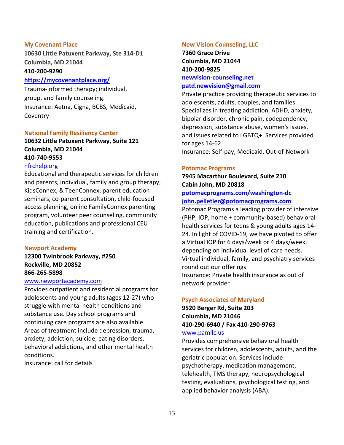### **My Covenant Place**

**10630 Little Patuxent Parkway, Ste 314-D1 Columbia, MD 21044**

### **410-200-9290**

### **<https://mycovenantplace.org/>**

Trauma-informed therapy; individual, group, and family counseling. Insurance: Aetna, Cigna, BCBS, Medicaid, Coventry

### **National Family Resiliency Center**

**10632 Little Patuxent Parkway, Suite 121 Columbia, MD 21044 410-740-9553**

### [nfrchelp.org](https://nfrchelp.org/)

Educational and therapeutic services for children and parents, individual, family and group therapy, KidsConnex, & TeenConnex, parent education seminars, co-parent consultation, child-focused access planning, online FamilyConnex parenting program, volunteer peer counseling, community education, publications and professional CEU training and certification.

### **Newport Academy**

**12300 Twinbrook Parkway, #250 Rockville, MD 20852 866-265-5898**

# [www.newportacademy.com](http://www.newportacademy.com/)

Provides outpatient and residential programs for adolescents and young adults (ages 12-27) who struggle with mental health conditions and substance use. Day school programs and continuing care programs are also available. Areas of treatment include depression, trauma, anxiety, addiction, suicide, eating disorders, behavioral addictions, and other mental health conditions.

Insurance: call for details

#### **New Vision Counseling, LLC**

**7360 Grace Drive Columbia, MD 21044 410-200-9825 [newvision-counseling.net](http://www.newvision-counseling.net/) [patd.newvision@gmail.com](mailto:patd.newvision@gmail.com)**

Private practice providing therapeutic services to adolescents, adults, couples, and families. Specializes in treating addiction, ADHD, anxiety, bipolar disorder, chronic pain, codependency, depression, substance abuse, women's issues, and issues related to LGBTQ+. Services provided for ages 14-62 Insurance: Self-pay, Medicaid, Out-of-Network

### **Potomac Programs**

**7945 Macarthur Boulevard, Suite 210 Cabin John, MD 20818**

# **[potomacprograms.com/washington-dc](http://www.potomacprograms.com/washington-dc) [john.pelletier@potomacprograms.com](mailto:john.pelletier@potomacprograms.com)**

Potomac Programs a leading provider of intensive (PHP, IOP, home + community-based) behavioral health services for teens & young adults ages 14- 24. In light of COVID-19, we have pivoted to offer a Virtual IOP for 6 days/week or 4 days/week, depending on individual level of care needs. Virtual individual, family, and psychiatry services round out our offerings. Insurance: Private health insurance as out of network provider

### **Psych Associates of Maryland**

**9520 Berger Rd, Suite 203 Columbia, MD 21046 410-290-6940 / Fax 410-290-9763**

### [www.pamllc.us](http://www.pamllc.us/)

Provides comprehensive behavioral health services for children, adolescents, adults, and the geriatric population. Services include psychotherapy, medication management, telehealth, TMS therapy, neuropsychological testing, evaluations, psychological testing, and applied behavior analysis (ABA).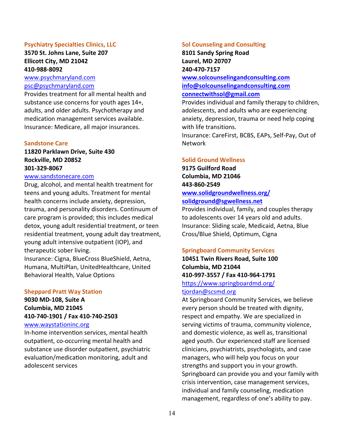# **Psychiatry Specialties Clinics, LLC**

# **3570 St. Johns Lane, Suite 207 Ellicott City, MD 21042 410-988-8092**

[www.psychmaryland.com](http://www.psychmaryland.com/) [psc@psychmaryland.com](mailto:psc@psychmaryland.com)

Provides treatment for all mental health and substance use concerns for youth ages 14+, adults, and older adults. Psychotherapy and medication management services available. Insurance: Medicare, all major insurances.

### **Sandstone Care**

# **11820 Parklawn Drive, Suite 430 Rockville, MD 20852 301-329-8067**

### [www.sandstonecare.com](https://www.sandstonecare.com/maryland?utm_source=GMBlisting&utm_medium=organic)

Drug, alcohol, and mental health treatment for teens and young adults. Treatment for mental health concerns include anxiety, depression, trauma, and personality disorders. Continuum of care program is provided; this includes medical detox, young adult residential treatment, or teen residential treatment, young adult day treatment, young adult intensive outpatient (IOP), and therapeutic sober living.

Insurance: Cigna, BlueCross BlueShield, Aetna, Humana, MultiPlan, UnitedHealthcare, United Behavioral Health, Value Options

#### **Sheppard Pratt Way Station**

# **9030 MD-108, Suite A Columbia, MD 21045 410-740-1901 / Fax 410-740-2503**

### [www.waystationinc.org](http://www.waystationinc.org/)

In-home intervention services, mental health outpatient, co-occurring mental health and substance use disorder outpatient, psychiatric evaluation/medication monitoring, adult and adolescent services

#### **Sol Counseling and Consulting**

**8101 Sandy Spring Road Laurel, MD 20707 240-470-7157**

**[www.solcounselingandconsulting.com](http://www.solcounselingandconsulting.com/) [info@solcounselingandconsulting.com](mailto:info@solcounselingandconsulting.com) [connectwithsol@gmail.com](mailto:connectwithsol@gmail.com)**

Provides individual and family therapy to children, adolescents, and adults who are experiencing anxiety, depression, trauma or need help coping with life transitions.

Insurance: CareFirst, BCBS, EAPs, Self-Pay, Out of Network

### **Solid Ground Wellness**

**9175 Guilford Road Columbia, MD 21046 443-860-2549 [www.solidgroundwellness.org/](http://www.solidgroundwellness.org/) [solidground@sgwellness.net](mailto:solidground@sgwellness.net)**

Provides individual, family, and couples therapy to adolescents over 14 years old and adults. Insurance: Sliding scale, Medicaid, Aetna, Blue Cross/Blue Shield, Optimum, Cigna

# **Springboard Community Services**

**10451 Twin Rivers Road, Suite 100 Columbia, MD 21044 410-997-3557 / Fax 410-964-1791** <https://www.springboardmd.org/> [tjordan@scsmd.org](mailto:tjordan@scsmd.org)

At Springboard Community Services, we believe every person should be treated with dignity, respect and empathy. We are specialized in serving victims of trauma, community violence, and domestic violence, as well as, transitional aged youth. Our experienced staff are licensed clinicians, psychiatrists, psychologists, and case managers, who will help you focus on your strengths and support you in your growth. Springboard can provide you and your family with crisis intervention, case management services, individual and family counseling, medication management, regardless of one's ability to pay.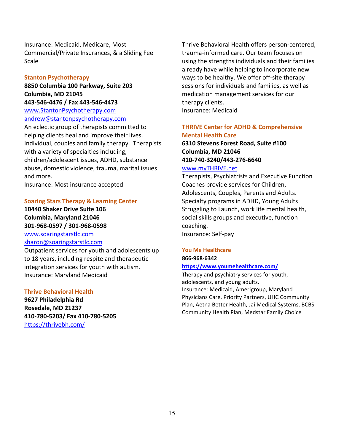Insurance: Medicaid, Medicare, Most Commercial/Private Insurances, & a Sliding Fee **Scale** 

### **Stanton Psychotherapy**

**8850 Columbia 100 Parkway, Suite 203 Columbia, MD 21045 443-546-4476 / Fax 443-546-4473**

[www.StantonPsychotherapy.com](http://www.stantonpsychotherapy.com/) andrew@stantonpsychotherapy.com

An eclectic group of therapists committed to helping clients heal and improve their lives. Individual, couples and family therapy. Therapists with a variety of specialties including, children/adolescent issues, ADHD, substance abuse, domestic violence, trauma, marital issues and more.

Insurance: Most insurance accepted

### **Soaring Stars Therapy & Learning Center**

**10440 Shaker Drive Suite 106 Columbia, Maryland 21046 301-968-0597 / 301-968-0598** [www.soaringstarstlc.com](http://www.soaringstarstlc.com/)

### [sharon@soaringstarstlc.com](mailto:sharon@soaringstarstlc.com)

Outpatient services for youth and adolescents up to 18 years, including respite and therapeutic integration services for youth with autism. Insurance: Maryland Medicaid

### **Thrive Behavioral Health**

**9627 Philadelphia Rd Rosedale, MD 21237 410-780-5203/ Fax 410-780-5205** <https://thrivebh.com/>

Thrive Behavioral Health offers person-centered, trauma-informed care. Our team focuses on using the strengths individuals and their families already have while helping to incorporate new ways to be healthy. We offer off-site therapy sessions for individuals and families, as well as medication management services for our therapy clients. Insurance: Medicaid

# **THRIVE Center for ADHD & Comprehensive Mental Health Care**

# **6310 Stevens Forest Road, Suite #100 Columbia, MD 21046 410-740-3240/443-276-6640** [www.myTHRIVE.net](http://www.mythrive.net/)

Therapists, Psychiatrists and Executive Function Coaches provide services for Children, Adolescents, Couples, Parents and Adults. Specialty programs in ADHD, Young Adults Struggling to Launch, work life mental health, social skills groups and executive, function coaching. Insurance: Self-pay

### **You Me Healthcare**

# **866-968-6342**

**<https://www.youmehealthcare.com/>**

Therapy and psychiatry services for youth, adolescents, and young adults. Insurance: Medicaid, Amerigroup, Maryland Physicians Care, Priority Partners, UHC Community Plan, Aetna Better Health, Jai Medical Systems, BCBS Community Health Plan, Medstar Family Choice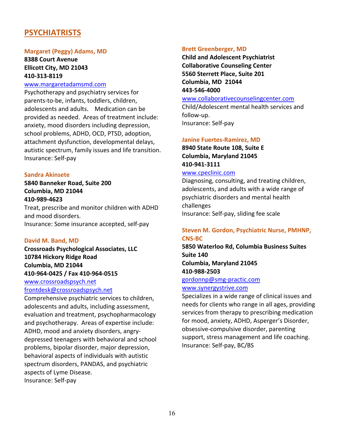# <span id="page-15-0"></span>**PSYCHIATRISTS**

### **Margaret (Peggy) Adams, MD**

**8388 Court Avenue Ellicott City, MD 21043 410-313-8119**

### [www.margaretadamsmd.com](http://www.margaretadamsmd.com/)

Psychotherapy and psychiatry services for parents-to-be, infants, toddlers, children, adolescents and adults. Medication can be provided as needed. Areas of treatment include: anxiety, mood disorders including depression, school problems, ADHD, OCD, PTSD, adoption, attachment dysfunction, developmental delays, autistic spectrum, family issues and life transition. Insurance: Self-pay

### **Sandra Akinsete**

# **5840 Banneker Road, Suite 200 Columbia, MD 21044 410-989-4623**

Treat, prescribe and monitor children with ADHD and mood disorders. Insurance: Some insurance accepted, self-pay

# **David M. Band, MD**

**Crossroads Psychological Associates, LLC 10784 Hickory Ridge Road Columbia, MD 21044 410-964-0425 / Fax 410-964-0515**

[www.crossroadspsych.net](https://www.crossroadspsych.net/) [frontdesk@crossroadspsych.net](mailto:frontdesk@crossroadspsych.net)

Comprehensive psychiatric services to children, adolescents and adults, including assessment, evaluation and treatment, psychopharmacology and psychotherapy. Areas of expertise include: ADHD, mood and anxiety disorders, angrydepressed teenagers with behavioral and school problems, bipolar disorder, major depression, behavioral aspects of individuals with autistic spectrum disorders, PANDAS, and psychiatric aspects of Lyme Disease. Insurance: Self-pay

### **Brett Greenberger, MD**

**Child and Adolescent Psychiatrist Collaborative Counseling Center 5560 Sterrett Place, Suite 201 Columbia, MD 21044 443-546-4000**

### [www.collaborativecounselingcenter.com](http://www.collaborativecounselingcenter.com/)

Child/Adolescent mental health services and follow-up.

Insurance: Self-pay

### **Janine Fuertes-Ramirez, MD**

**8940 State Route 108, Suite E Columbia, Maryland 21045 [410-941-3111](tel:+1-410-941-3111)**

# [www.cpeclinic.com](http://www.cpeclinic.com/)

Diagnosing, consulting, and treating children, adolescents, and adults with a wide range of psychiatric disorders and mental health challenges Insurance: Self-pay, sliding fee scale

# **Steven M. Gordon, Psychiatric Nurse, PMHNP, CNS-BC**

**5850 Waterloo Rd, Columbia Business Suites Suite 140 Columbia, Maryland 21045 410-988-2503**

### [gordonnp@smg-practic.com](mailto:gordonnp@smg-practic.com) [www.synergystrive.com](http://www.synergystrive.com/)

Specializes in a wide range of clinical issues and needs for clients who range in all ages, providing services from therapy to prescribing medication for mood, anxiety, ADHD, Asperger's Disorder, obsessive-compulsive disorder, parenting support, stress management and life coaching. Insurance: Self-pay, BC/BS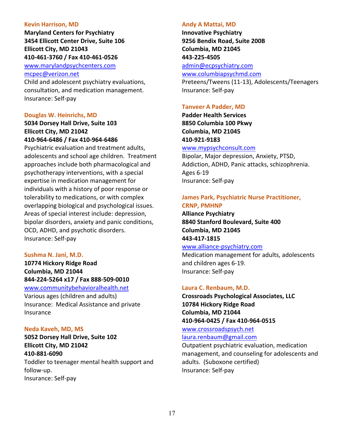### **Kevin Harrison, MD**

**Maryland Centers for Psychiatry 3454 Ellicott Center Drive, Suite 106 Ellicott City, MD 21043 410-461-3760 / Fax 410-461-0526** 

[www.marylandpsychcenters.com](http://www.marylandpsychcenters.com/) [mcpec@verizon.net](mailto:kevscohar@verizon.net)

Child and adolescent psychiatry evaluations, consultation, and medication management. Insurance: Self-pay

### **Douglas W. Heinrichs, MD**

**5034 Dorsey Hall Drive, Suite 103 Ellicott City, MD 21042 410-964-6486 / Fax 410-964-6486** 

Psychiatric evaluation and treatment adults, adolescents and school age children. Treatment approaches include both pharmacological and psychotherapy interventions, with a special expertise in medication management for individuals with a history of poor response or tolerability to medications, or with complex overlapping biological and psychological issues. Areas of special interest include: depression, bipolar disorders, anxiety and panic conditions, OCD, ADHD, and psychotic disorders. Insurance: Self-pay

# **Sushma N. Jani, M.D.**

**10774 Hickory Ridge Road Columbia, MD 21044 844-224-5264 x17 / Fax 888-509-0010** [www.communitybehavioralhealth.net](http://www.communitybehavioralhealth.net/)

Various ages (children and adults) Insurance: Medical Assistance and private Insurance

### **Neda Kaveh, MD, MS**

**5052 Dorsey Hall Drive, Suite 102 Ellicott City, MD 21042 410-881-6090** Toddler to teenager mental health support and follow-up.

Insurance: Self-pay

### **Andy A Mattai, MD**

**Innovative Psychiatry 9256 Bendix Road, Suite 200B Columbia, MD 21045 443-225-4505**

[admin@ecpsychiatry.com](mailto:admin@ecpsychiatry.com)

[www.columbiapsychmd.com](http://www.columbiapsychmd.com/)

Preteens/Tweens (11-13), Adolescents/Teenagers Insurance: Self-pay

### **Tanveer A Padder, MD**

**Padder Health Services 8850 Columbia 100 Pkwy Columbia, MD 21045 410-921-9183**

# [www.mypsychconsult.com](http://www.mypsychconsult.com/)

Bipolar, Major depression, Anxiety, PTSD, Addiction, ADHD, Panic attacks, schizophrenia. Ages 6-19 Insurance: Self-pay

# **James Park, Psychiatric Nurse Practitioner, CRNP, PMHNP**

**Alliance Psychiatry 8840 Stanford Boulevard, Suite 400 Columbia, MD 21045 443-417-1815**

### [www.alliance-psychiatry.com](http://www.alliance-psychiatry.com/)

Medication management for adults, adolescents and children ages 6-19. Insurance: Self-pay

# **Laura C. Renbaum, M.D.**

**Crossroads Psychological Associates, LLC 10784 Hickory Ridge Road Columbia, MD 21044 410-964-0425 / Fax 410-964-0515**

[www.crossroadspsych.net](https://www.crossroadspsych.net/) [laura.renbaum@gmail.com](mailto:laura.renbaum@gmail.com)

Outpatient psychiatric evaluation, medication management, and counseling for adolescents and adults. (Suboxone certified) Insurance: Self-pay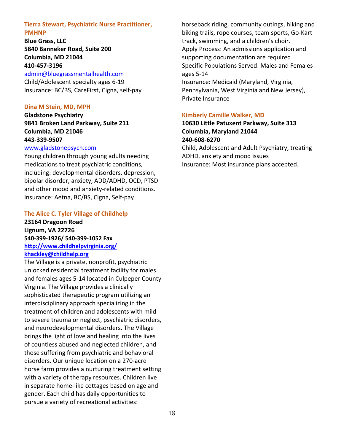# **Tierra Stewart, Psychiatric Nurse Practitioner, PMHNP**

**Blue Grass, LLC 5840 Banneker Road, Suite 200 Columbia, MD 21044 410-457-3196**

[admin@bluegrassmentalhealth.com](mailto:admin@bluegrassmentalhealth.com)

Child/Adolescent specialty ages 6-19 Insurance: BC/BS, CareFirst, Cigna, self-pay

# **Dina M Stein, MD, MPH**

**Gladstone Psychiatry 9841 Broken Land Parkway, Suite 211 Columbia, MD 21046 443-339-9507**

# [www.gladstonepsych.com](http://www.gladstonepsych.com/)

Young children through young adults needing medications to treat psychiatric conditions, including: developmental disorders, depression, bipolar disorder, anxiety, ADD/ADHD, OCD, PTSD and other mood and anxiety-related conditions. Insurance: Aetna, BC/BS, Cigna, Self-pay

# **The Alice C. Tyler Village of Childhelp**

**23164 Dragoon Road Lignum, VA 22726 540-399-1926/ 540-399-1052 Fax <http://www.childhelpvirginia.org/> [khackley@childhelp.org](mailto:khackley@childhelp.org)**

The Village is a private, nonprofit, psychiatric unlocked residential treatment facility for males and females ages 5-14 located in Culpeper County Virginia. The Village provides a clinically sophisticated therapeutic program utilizing an interdisciplinary approach specializing in the treatment of children and adolescents with mild to severe trauma or neglect, psychiatric disorders, and neurodevelopmental disorders. The Village brings the light of love and healing into the lives of countless abused and neglected children, and those suffering from psychiatric and behavioral disorders. Our unique location on a 270-acre horse farm provides a nurturing treatment setting with a variety of therapy resources. Children live in separate home-like cottages based on age and gender. Each child has daily opportunities to pursue a variety of recreational activities:

horseback riding, community outings, hiking and biking trails, rope courses, team sports, Go-Kart track, swimming, and a children's choir. Apply Process: An admissions application and supporting documentation are required Specific Populations Served: Males and Females ages 5-14 Insurance: Medicaid (Maryland, Virginia,

Pennsylvania, West Virginia and New Jersey), Private Insurance

# **Kimberly Camille Walker, MD**

**10630 Little Patuxent Parkway, Suite 313 Columbia, Maryland 21044 [240-608-6270](tel:+1-240-608-6270)** Child, Adolescent and Adult Psychiatry, treating ADHD, anxiety and mood issues Insurance: Most insurance plans accepted.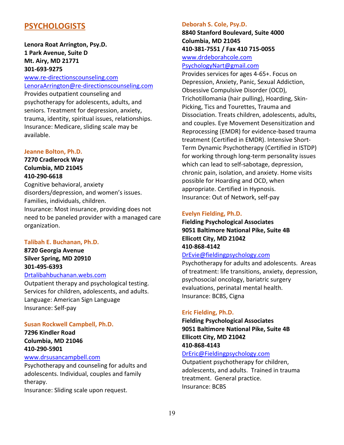# <span id="page-18-0"></span>**PSYCHOLOGISTS**

# **Lenora Roat Arrington, Psy.D. 1 Park Avenue, Suite D Mt. Airy, MD 21771 301-693-9275**

[www.re-directionscounseling.com](http://www.re-directionscounseling.com/) [LenoraArrington@re-directionscounseling.com](mailto:LenoraArrington@re-directionscounseling.com) Provides outpatient counseling and psychotherapy for adolescents, adults, and seniors. Treatment for depression, anxiety, trauma, identity, spiritual issues, relationships. Insurance: Medicare, sliding scale may be

### **Jeanne Bolton, Ph.D.**

available.

**7270 Cradlerock Way Columbia, MD 21045 410-290-6618**

Cognitive behavioral, anxiety disorders/depression, and women's issues. Families, individuals, children. Insurance: Most insurance, providing does not need to be paneled provider with a managed care organization.

### **Talibah E. Buchanan, Ph.D.**

**8720 Georgia Avenue Silver Spring, MD 20910 301-495-6393**

# [Drtalibahbuchanan.webs.com](https://drtalibahbuchanan.webs.com/)

Outpatient therapy and psychological testing. Services for children, adolescents, and adults. Language: American Sign Language Insurance: Self-pay

### **Susan Rockwell Campbell, Ph.D.**

**7296 Kindler Road Columbia, MD 21046 410-290-5901** [www.drsusancampbell.com](http://www.drsusancampbell.com/)

Psychotherapy and counseling for adults and adolescents. Individual, couples and family therapy.

Insurance: Sliding scale upon request.

### **Deborah S. Cole, Psy.D.**

**8840 Stanford Boulevard, Suite 4000 Columbia, MD 21045 410-381-7551 / Fax 410 715-0055** [www.drdeborahcole.com](http://www.drdeborahcole.com/)

### [PsychologyNart@gmail.com](mailto:PsychologyNart@gmail.com)

Provides services for ages 4-65+. Focus on Depression, Anxiety, Panic, Sexual Addiction, Obsessive Compulsive Disorder (OCD), Trichotillomania (hair pulling), Hoarding, Skin-Picking, Tics and Tourettes, Trauma and Dissociation. Treats children, adolescents, adults, and couples. Eye Movement Desensitization and Reprocessing (EMDR) for evidence-based trauma treatment (Certified in EMDR). Intensive Short-Term Dynamic Psychotherapy (Certified in ISTDP) for working through long-term personality issues which can lead to self-sabotage, depression, chronic pain, isolation, and anxiety. Home visits possible for Hoarding and OCD, when appropriate. Certified in Hypnosis. Insurance: Out of Network, self-pay

### **Evelyn Fielding, Ph.D.**

**Fielding Psychological Associates 9051 Baltimore National Pike, Suite 4B Ellicott City, MD 21042 410-868-4142**

# [DrEvie@fieldingpsychology.com](mailto:DrEvieFielding@gmail.com)

Psychotherapy for adults and adolescents. Areas of treatment: life transitions, anxiety, depression, psychosocial oncology, bariatric surgery evaluations, perinatal mental health. Insurance: BCBS, Cigna

### **Eric Fielding, Ph.D.**

**Fielding Psychological Associates 9051 Baltimore National Pike, Suite 4B Ellicott City, MD 21042 410-868-4143**

# [DrEric@Fieldingpsychology.com](mailto:DrEricFielding@gmail.com)

Outpatient psychotherapy for children, adolescents, and adults. Trained in trauma treatment. General practice. Insurance: BCBS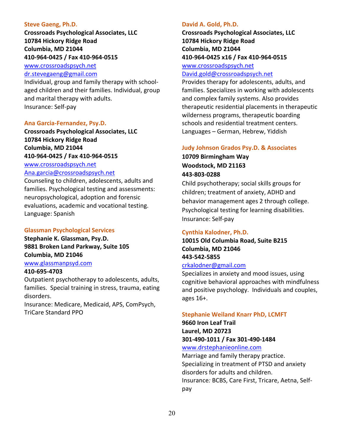### **Steve Gaeng, Ph.D.**

**Crossroads Psychological Associates, LLC 10784 Hickory Ridge Road Columbia, MD 21044 410-964-0425 / Fax 410-964-0515**

[www.crossroadspsych.net](https://www.crossroadspsych.net/) [dr.stevegaeng@gmail.com](mailto:dr.stevegaeng@gmail.com)

Individual, group and family therapy with schoolaged children and their families. Individual, group and marital therapy with adults. Insurance: Self-pay

### **Ana Garcia-Fernandez, Psy.D.**

**Crossroads Psychological Associates, LLC 10784 Hickory Ridge Road Columbia, MD 21044 410-964-0425 / Fax 410-964-0515** [www.crossroadspsych.net](https://www.crossroadspsych.net/)

# [Ana.garcia@crossroadspsych.net](mailto:Ana.garcia@crossroadspsych.net)

Counseling to children, adolescents, adults and families. Psychological testing and assessments: neuropsychological, adoption and forensic evaluations, academic and vocational testing. Language: Spanish

### **Glassman Psychological Services**

**Stephanie K. Glassman, Psy.D. 9881 Broken Land Parkway, Suite 105 Columbia, MD 21046**

# [www.glassmanpsyd.com](http://www.glassmanpsyd.com/)

### **410-695-4703**

Outpatient psychotherapy to adolescents, adults, families. Special training in stress, trauma, eating disorders.

Insurance: Medicare, Medicaid, APS, ComPsych, TriCare Standard PPO

### **David A. Gold, Ph.D.**

**Crossroads Psychological Associates, LLC 10784 Hickory Ridge Road Columbia, MD 21044 410-964-0425 x16 / Fax 410-964-0515**

# [www.crossroadspsych.net](http://www.crossroadspsych.net/)

# [David.gold@crossroadspsych.net](mailto:David.gold@crossroadspsych.net)

Provides therapy for adolescents, adults, and families. Specializes in working with adolescents and complex family systems. Also provides therapeutic residential placements in therapeutic wilderness programs, therapeutic boarding schools and residential treatment centers. Languages – German, Hebrew, Yiddish

# **Judy Johnson Grados Psy.D. & Associates**

**10709 Birmingham Way Woodstock, MD 21163 443-803-0288**

Child psychotherapy; social skills groups for children; treatment of anxiety, ADHD and behavior management ages 2 through college. Psychological testing for learning disabilities. Insurance: Self-pay

### **Cynthia Kalodner, Ph.D.**

# **10015 Old Columbia Road, Suite B215 Columbia, MD 21046 443-542-5855**

# [crkalodner@gmail.com](mailto:ckalodner@towson.edu)

Specializes in anxiety and mood issues, using cognitive behavioral approaches with mindfulness and positive psychology. Individuals and couples, ages 16+.

### **Stephanie Weiland Knarr PhD, LCMFT**

**9660 Iron Leaf Trail Laurel, MD 20723 301-490-1011 / Fax 301-490-1484**

[www.drstephanieonline.com](http://www.drstephanieonline.com/)

Marriage and family therapy practice. Specializing in treatment of PTSD and anxiety disorders for adults and children. Insurance*:* BCBS, Care First, Tricare, Aetna, Selfpay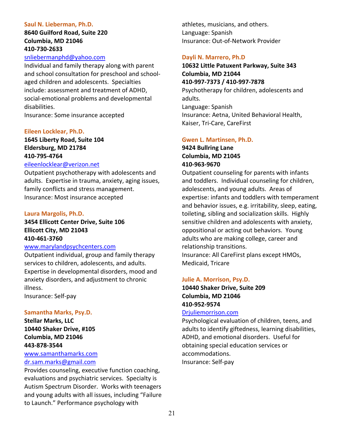### **Saul N. Lieberman, Ph.D.**

# **8640 Guilford Road, Suite 220 Columbia, MD 21046 410-730-2633**

# [snliebermanphd@yahoo.com](mailto:snliebermanphd@yahoo.com)

Individual and family therapy along with parent and school consultation for preschool and schoolaged children and adolescents. Specialties include: assessment and treatment of ADHD, social-emotional problems and developmental disabilities.

Insurance: Some insurance accepted

### **Eileen Locklear, Ph.D.**

# **1645 Liberty Road, Suite 104 Eldersburg, MD 21784 410-795-4764**

### [eileenlocklear@verizon.net](mailto:eileenlocklear@verizon.net)

Outpatient psychotherapy with adolescents and adults. Expertise in trauma, anxiety, aging issues, family conflicts and stress management. Insurance: Most insurance accepted

### **Laura Margolis, Ph.D.**

# **3454 Ellicott Center Drive, Suite 106 Ellicott City, MD 21043 410-461-3760**

### [www.marylandpsychcenters.com](http://www.marylandpsychcenters.com/)

Outpatient individual, group and family therapy services to children, adolescents, and adults. Expertise in developmental disorders, mood and anxiety disorders, and adjustment to chronic illness.

Insurance: Self-pay

### **Samantha Marks, Psy.D.**

**Stellar Marks, LLC 10440 Shaker Drive, #105 Columbia, MD 21046 443-878-3544**

### [www.samanthamarks.com](http://www.samanthamarks.com/) [dr.sam.marks@gmail.com](mailto:dr.sam.marks@gmail.com)

Provides counseling, executive function coaching, evaluations and psychiatric services. Specialty is Autism Spectrum Disorder. Works with teenagers and young adults with all issues, including "Failure to Launch." Performance psychology with

athletes, musicians, and others. Language: Spanish Insurance: Out-of-Network Provider

### **Dayli N. Marrero, Ph.D**

# **10632 Little Patuxent Parkway, Suite 343 Columbia, MD 21044 410-997-7373 / 410-997-7878** Psychotherapy for children, adolescents and adults. Language: Spanish Insurance: Aetna, United Behavioral Health,

Kaiser, Tri-Care, CareFirst

### **Gwen L. Martinsen, Ph.D.**

# **9424 Bullring Lane Columbia, MD 21045 410-963-9670**

Outpatient counseling for parents with infants and toddlers. Individual counseling for children, adolescents, and young adults. Areas of expertise: infants and toddlers with temperament and behavior issues, e.g. irritability, sleep, eating, toileting, sibling and socialization skills. Highly sensitive children and adolescents with anxiety, oppositional or acting out behaviors. Young adults who are making college, career and relationship transitions. Insurance: All CareFirst plans except HMOs,

Medicaid, Tricare

### **Julie A. Morrison, Psy.D.**

# **10440 Shaker Drive, Suite 209 Columbia, MD 21046 410-952-9574**

### [Drjuliemorrison.com](https://drjuliemorrison.com/)

Psychological evaluation of children, teens, and adults to identify giftedness, learning disabilities, ADHD, and emotional disorders. Useful for obtaining special education services or accommodations. Insurance: Self-pay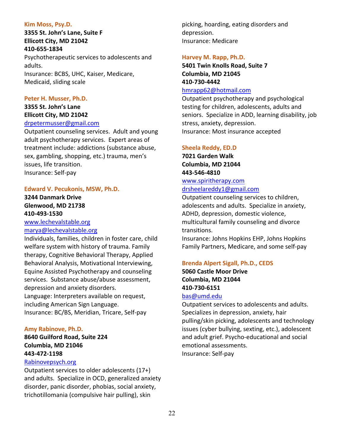# **Kim Moss, Psy.D.**

**3355 St. John's Lane, Suite F Ellicott City, MD 21042 410-655-1834** Psychotherapeutic services to adolescents and adults. Insurance: BCBS, UHC, Kaiser, Medicare, Medicaid, sliding scale

# **Peter H. Musser, Ph.D.**

# **3355 St. John's Lane Ellicott City, MD 21042**

### [drpetermusser@gmail.com](mailto:drpetermusser@gmail.com)

Outpatient counseling services. Adult and young adult psychotherapy services. Expert areas of treatment include: addictions (substance abuse, sex, gambling, shopping, etc.) trauma, men's issues, life transition. Insurance: Self-pay

# **Edward V. Pecukonis, MSW, Ph.D.**

# **3244 Danmark Drive Glenwood, MD 21738 410-493-1530**

[www.lechevalstable.org](http://www.lechevalstable.org/) [marya@lechevalstable.org](mailto:marya@lechevalstable.org)

Individuals, families, children in foster care, child welfare system with history of trauma. Family therapy, Cognitive Behavioral Therapy, Applied Behavioral Analysis, Motivational Interviewing, Equine Assisted Psychotherapy and counseling services. Substance abuse/abuse assessment, depression and anxiety disorders. Language: Interpreters available on request,

including American Sign Language. Insurance: BC/BS, Meridian, Tricare, Self-pay

# **Amy Rabinove, Ph.D.**

**8640 Guilford Road, Suite 224 Columbia, MD 21046 443-472-1198**

# [Rabinovepsych.org](http://rabinovepsych.org/)

Outpatient services to older adolescents (17+) and adults. Specialize in OCD, generalized anxiety disorder, panic disorder, phobias, social anxiety, trichotillomania (compulsive hair pulling), skin

picking, hoarding, eating disorders and depression. Insurance: Medicare

# **Harvey M. Rapp, Ph.D.**

**5401 Twin Knolls Road, Suite 7 Columbia, MD 21045 410-730-4442**

# [hmrapp62@hotmail.com](mailto:hmrapp62@hotmail.com)

Outpatient psychotherapy and psychological testing for children, adolescents, adults and seniors. Specialize in ADD, learning disability, job stress, anxiety, depression. Insurance: Most insurance accepted

# **Sheela Reddy, ED.D**

**7021 Garden Walk Columbia, MD 21044 443-546-4810** [www.spiritherapy.com](http://www.spiritherapy.com/)

# [drsheelareddy1@gmail.com](mailto:drsheelareddy1@gmail.com)

Outpatient counseling services to children, adolescents and adults. Specialize in anxiety, ADHD, depression, domestic violence, multicultural family counseling and divorce transitions.

Insurance: Johns Hopkins EHP, Johns Hopkins Family Partners, Medicare, and some self-pay

# **Brenda Alpert Sigall, Ph.D., CEDS**

**5060 Castle Moor Drive Columbia, MD 21044 410-730-6151**

# [bas@umd.edu](mailto:bas@umd.edu)

Outpatient services to adolescents and adults. Specializes in depression, anxiety, hair pulling/skin picking, adolescents and technology issues (cyber bullying, sexting, etc.), adolescent and adult grief. Psycho-educational and social emotional assessments. Insurance: Self-pay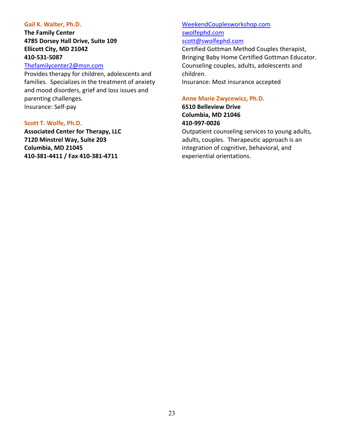### **Gail K. Walter, Ph.D.**

# **The Family Center 4785 Dorsey Hall Drive, Suite 109 Ellicott City, MD 21042 410-531-5087**

# [Thefamilycenter2@msn.com](mailto:Thefamilycenter2@msn.com)

Provides therapy for children, adolescents and families. Specializes in the treatment of anxiety and mood disorders, grief and loss issues and parenting challenges. Insurance: Self-pay

### **Scott T. Wolfe, Ph.D.**

<span id="page-22-0"></span>**Associated Center for Therapy, LLC 7120 Minstrel Way, Suite 203 Columbia, MD 21045 410-381-4411 / Fax 410-381-4711**

# [WeekendCouplesworkshop.com](https://www.weekendcouplesworkshop.com/) [swolfephd.com](http://www.nevadarelationshipcenter.com/) [scott@swolfephd.com](mailto:scott@swolfephd.com)

Certified Gottman Method Couples therapist, Bringing Baby Home Certified Gottman Educator. Counseling couples, adults, adolescents and children.

Insurance: Most insurance accepted

### **Anne Marie Zwycewicz, Ph.D.**

**6510 Belleview Drive Columbia, MD 21046 410-997-0026**

Outpatient counseling services to young adults, adults, couples. Therapeutic approach is an integration of cognitive, behavioral, and experiential orientations.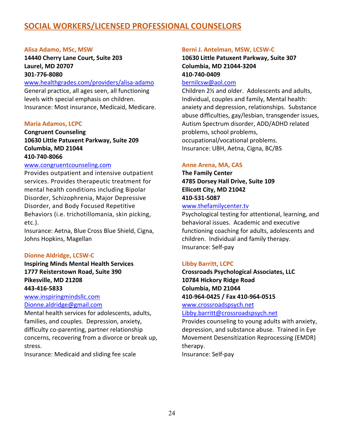# **SOCIAL WORKERS/LICENSED PROFESSIONAL COUNSELORS**

### **Alisa Adamo, MSc, MSW**

**14440 Cherry Lane Court, Suite 203 Laurel, MD 20707 301-776-8080**

[www.healthgrades.com/providers/alisa-adamo](http://www.healthgrades.com/providers/alisa-adamo)

General practice, all ages seen, all functioning levels with special emphasis on children. Insurance: Most insurance, Medicaid, Medicare.

### **Maria Adamos, LCPC**

**Congruent Counseling 10630 Little Patuxent Parkway, Suite 209 Columbia, MD 21044**

# **410-740-8066**

# [www.congruentcounseling.com](http://www.congruentcounseling.com/)

Provides outpatient and intensive outpatient services. Provides therapeutic treatment for mental health conditions including Bipolar Disorder, Schizophrenia, Major Depressive Disorder, and Body Focused Repetitive Behaviors (i.e. trichotillomania, skin picking, etc.).

Insurance: Aetna, Blue Cross Blue Shield, Cigna, Johns Hopkins, Magellan

### **Dionne Aldridge, LCSW-C**

**Inspiring Minds Mental Health Services 1777 Reisterstown Road, Suite 390 Pikesville, MD 21208 443-416-5833**

[www.inspiringmindsllc.com](https://www.inspiringmindsllc.com/index.html) [Dionne.aldridge@gmail.com](mailto:Dionne.aldridge@gmail.com)

Mental health services for adolescents, adults, families, and couples. Depression, anxiety, difficulty co-parenting, partner relationship concerns, recovering from a divorce or break up, stress.

Insurance: Medicaid and sliding fee scale

### **Berni J. Antelman, MSW, LCSW-C**

**10630 Little Patuxent Parkway, Suite 307 Columbia, MD 21044-3204 410-740-0409**

### [bernilcsw@aol.com](mailto:bernilcsw@aol.com)

Children 2½ and older. Adolescents and adults, Individual, couples and family, Mental health: anxiety and depression, relationships. Substance abuse difficulties, gay/lesbian, transgender issues, Autism Spectrum disorder, ADD/ADHD related problems, school problems, occupational/vocational problems. Insurance: UBH, Aetna, Cigna, BC/BS

### **Anne Arena, MA, CAS**

**The Family Center 4785 Dorsey Hall Drive, Suite 109 Ellicott City, MD 21042 410-531-5087** [www.thefamilycenter.tv](http://www.thefamilycenter.tv/)

Psychological testing for attentional, learning, and behavioral issues. Academic and executive functioning coaching for adults, adolescents and children. Individual and family therapy. Insurance: Self-pay

### **Libby Barritt, LCPC**

**Crossroads Psychological Associates, LLC 10784 Hickory Ridge Road Columbia, MD 21044 410-964-0425 / Fax 410-964-0515**

[www.crossroadspsych.net](https://www.crossroadspsych.net/)

[Libby.barritt@crossroadspsych.net](mailto:Libby.barritt@crossroadspsych.net)

Provides counseling to young adults with anxiety, depression, and substance abuse. Trained in Eye Movement Desensitization Reprocessing (EMDR) therapy.

Insurance: Self-pay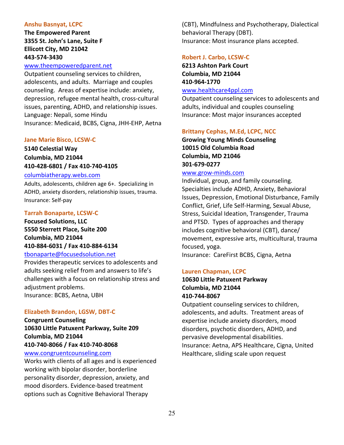### **Anshu Basnyat, LCPC**

**The Empowered Parent 3355 St. John's Lane, Suite F Ellicott City, MD 21042 443-574-3430**

### [www.theempoweredparent.net](http://www.theempoweredparent.net/)

Outpatient counseling services to children, adolescents, and adults. Marriage and couples counseling. Areas of expertise include: anxiety, depression, refugee mental health, cross-cultural issues, parenting, ADHD, and relationship issues. Language: Nepali, some Hindu Insurance: Medicaid, BCBS, Cigna, JHH-EHP, Aetna

### **Jane Marie Bisco, LCSW-C**

**5140 Celestial Way Columbia, MD 21044 410-428-6801 / Fax 410-740-4105** 

### [columbiatherapy.webs.com](http://columbiatherapy.webs.com/)

Adults, adolescents, children age 6+. Specializing in ADHD, anxiety disorders, relationship issues, trauma. Insurance: Self-pay

### **Tarrah Bonaparte, LCSW-C**

**Focused Solutions, LLC 5550 Sterrett Place, Suite 200 Columbia, MD 21044 410-884-6031 / Fax 410-884-6134**

# [tbonaparte@focusedsolution.net](mailto:tbonaparte@focusedsolution.net)

Provides therapeutic services to adolescents and adults seeking relief from and answers to life's challenges with a focus on relationship stress and adjustment problems. Insurance: BCBS, Aetna, UBH

# **Elizabeth Brandon, LGSW, DBT-C**

**Congruent Counseling 10630 Little Patuxent Parkway, Suite 209 Columbia, MD 21044 410-740-8066 / Fax 410-740-8068**

# [www.congruentcounseling.com](http://www.congruentcounseling.com/)

Works with clients of all ages and is experienced working with bipolar disorder, borderline personality disorder, depression, anxiety, and mood disorders. Evidence-based treatment options such as Cognitive Behavioral Therapy

(CBT), Mindfulness and Psychotherapy, Dialectical behavioral Therapy (DBT). Insurance: Most insurance plans accepted.

### **Robert J. Carbo, LCSW-C**

**6213 Ashton Park Court Columbia, MD 21044 410-964-1770** [www.healthcare4ppl.com](https://www.healthcare4ppl.com/physician/maryland/columbia/robert-john-carbo-1144336330.html)

Outpatient counseling services to adolescents and adults, individual and couples counseling Insurance: Most major insurances accepted

# **Brittany Cephas, M.Ed, LCPC, NCC**

**Growing Young Minds Counseling 10015 Old Columbia Road Columbia, MD 21046 301-679-0277**

### [www.grow-minds.com](http://www.grow-minds.com/)

Individual, group, and family counseling. Specialties include ADHD, Anxiety, Behavioral Issues, Depression, Emotional Disturbance, Family Conflict, Grief, Life Self-Harming, Sexual Abuse, Stress, Suicidal Ideation, Transgender, Trauma and PTSD. Types of approaches and therapy includes cognitive behavioral (CBT), dance/ movement, expressive arts, multicultural, trauma focused, yoga.

Insurance: CareFirst BCBS, Cigna, Aetna

# **Lauren Chapman, LCPC**

# **10630 Little Patuxent Parkway Columbia, MD 21044 410-744-8067**

Outpatient counseling services to children, adolescents, and adults. Treatment areas of expertise include anxiety disorders, mood disorders, psychotic disorders, ADHD, and pervasive developmental disabilities. Insurance: Aetna, APS Healthcare, Cigna, United Healthcare, sliding scale upon request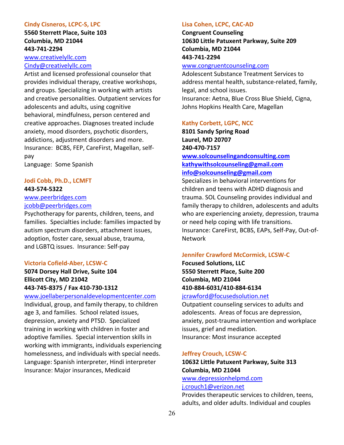### **Cindy Cisneros, LCPC-S, LPC**

**5560 Sterrett Place, Suite 103 Columbia, MD 21044 443-741-2294**

[www.creativelyllc.com](http://www.creativelyllc.com/) [Cindy@creativelyllc.com](mailto:creativelyllc@gmail.com)

Artist and licensed professional counselor that provides individual therapy, creative workshops, and groups. Specializing in working with artists and creative personalities. Outpatient services for adolescents and adults, using cognitive behavioral, mindfulness, person centered and creative approaches. Diagnoses treated include anxiety, mood disorders, psychotic disorders, addictions, adjustment disorders and more. Insurance: BCBS, FEP, CareFirst, Magellan, selfpay

Language: Some Spanish

# **Jodi Cobb, Ph.D., LCMFT**

# **443-574-5322**

# [www.peerbridges.com](http://www.peerbridges.com/) [jcobb@peerbridges.com](mailto:jcobb@peerbridges.com)

Psychotherapy for parents, children, teens, and families. Specialties include: families impacted by autism spectrum disorders, attachment issues, adoption, foster care, sexual abuse, trauma, and LGBTQ issues. Insurance: Self-pay

### **Victoria Cofield-Aber, LCSW-C**

**5074 Dorsey Hall Drive, Suite 104 Ellicott City, MD 21042 443-745-8375 / Fax 410-730-1312** 

### [www.joellaberpersonaldevelopmentcenter.com](http://www.joellaberpersonaldevelopmentcenter.com/)

Individual, group, and family therapy, to children age 3, and families. School related issues, depression, anxiety and PTSD. Specialized training in working with children in foster and adoptive families. Special intervention skills in working with immigrants, individuals experiencing homelessness, and individuals with special needs. Language: Spanish interpreter, Hindi interpreter Insurance: Major insurances, Medicaid

### **Lisa Cohen, LCPC, CAC-AD**

**Congruent Counseling 10630 Little Patuxent Parkway, Suite 209 Columbia, MD 21044 443-741-2294**

# [www.congruentcounseling.com](http://www.congruentcounseling.com/)

Adolescent Substance Treatment Services to address mental health, substance-related, family, legal, and school issues.

Insurance: Aetna, Blue Cross Blue Shield, Cigna, Johns Hopkins Health Care, Magellan

### **Kathy Corbett, LGPC, NCC**

**8101 Sandy Spring Road Laurel, MD 20707 240-470-7157 [www.solcounselingandconsulting.com](http://www.solcounselingandconsulting.com/) [kathywithsolcounseling@gmail.com](mailto:kathywithsolcounseling@gmail.com) [info@solcounseling@gmail.com](mailto:info@solcounseling@gmail.com)**

Specializes in behavioral interventions for children and teens with ADHD diagnosis and trauma. SOL Counseling provides individual and family therapy to children, adolescents and adults who are experiencing anxiety, depression, trauma or need help coping with life transitions. Insurance: CareFirst, BCBS, EAPs, Self-Pay, Out-of-Network

### **Jennifer Crawford McCormick, LCSW-C**

**Focused Solutions, LLC 5550 Sterrett Place, Suite 200 Columbia, MD 21044 410-884-6031/410-884-6134**

# [jcrawford@focusedsolution.net](mailto:jcrawford@focusedsolution.net)

Outpatient counseling services to adults and adolescents. Areas of focus are depression, anxiety, post-trauma intervention and workplace issues, grief and mediation. Insurance: Most insurance accepted

### **Jeffrey Crouch, LCSW-C**

# **10632 Little Patuxent Parkway, Suite 313 Columbia, MD 21044**

[www.depressionhelpmd.com](http://www.depressionhelpmd.com/) [j.crouch1@verizon.net](mailto:j.crouch1@verizon.net)

Provides therapeutic services to children, teens, adults, and older adults. Individual and couples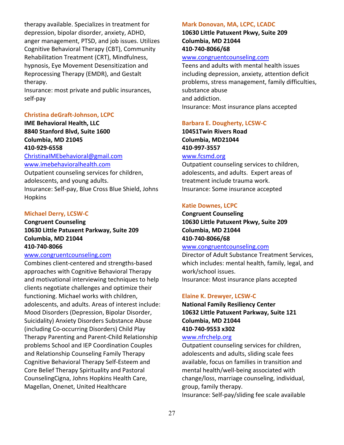therapy available. Specializes in treatment for depression, bipolar disorder, anxiety, ADHD, anger management, PTSD, and job issues. Utilizes Cognitive Behavioral Therapy (CBT), Community Rehabilitation Treatment (CRT), Mindfulness, hypnosis, Eye Movement Desensitization and Reprocessing Therapy (EMDR), and Gestalt therapy.

Insurance: most private and public insurances, self-pay

### **Christina deGraft-Johnson, LCPC**

**IME Behavioral Health, LLC 8840 Stanford Blvd, Suite 1600 Columbia, MD 21045 410-929-6558**

[ChristinaIMEbehavioral@gmail.com](mailto:ChristinaIMEbehavioral@gmail.com) [www.imebehavioralhealth.com](http://www.imebehavioralhealth.com/)

Outpatient counseling services for children, adolescents, and young adults. Insurance: Self-pay, Blue Cross Blue Shield, Johns Hopkins

### **Michael Derry, LCSW-C**

# **Congruent Counseling 10630 Little Patuxent Parkway, Suite 209 Columbia, MD 21044 410-740-8066**

### [www.congruentcounseling.com](http://www.congruentcounseling.com/)

Combines client-centered and strengths-based approaches with Cognitive Behavioral Therapy and motivational interviewing techniques to help clients negotiate challenges and optimize their functioning. Michael works with children, adolescents, and adults. Areas of interest include: Mood Disorders (Depression, Bipolar Disorder, Suicidality) Anxiety Disorders Substance Abuse (including Co-occurring Disorders) Child Play Therapy Parenting and Parent-Child Relationship problems School and IEP Coordination Couples and Relationship Counseling Family Therapy Cognitive Behavioral Therapy Self-Esteem and Core Belief Therapy Spirituality and Pastoral CounselingCigna, Johns Hopkins Health Care, Magellan, Onenet, United Healthcare

### **Mark Donovan, MA, LCPC, LCADC**

**10630 Little Patuxent Pkwy, Suite 209 Columbia, MD 21044 410-740-8066/68**

### [www.congruentcounseling.com](http://www.congruentcounseling.com/)

Teens and adults with mental health issues including depression, anxiety, attention deficit problems, stress management, family difficulties, substance abuse and addiction. Insurance: Most insurance plans accepted

### **Barbara E. Dougherty, LCSW-C**

**10451Twin Rivers Road Columbia, MD21044 410-997-3557**

# [www.fcsmd.org](https://www.fcsmd.org/)

Outpatient counseling services to children, adolescents, and adults. Expert areas of treatment include trauma work. Insurance: Some insurance accepted

### **Katie Downes, LCPC**

**Congruent Counseling 10630 Little Patuxent Pkwy, Suite 209 Columbia, MD 21044 410-740-8066/68**

### [www.congruentcounseling.com](http://www.congruentcounseling.com/)

Director of Adult Substance Treatment Services, which includes: mental health, family, legal, and work/school issues. Insurance: Most insurance plans accepted

### **Elaine K. Drewyer, LCSW-C**

**National Family Resiliency Center 10632 Little Patuxent Parkway, Suite 121 Columbia, MD 21044 410-740-9553 x302**

# [www.nfrchelp.org](http://www.nfrchelp.org/)

Outpatient counseling services for children, adolescents and adults, sliding scale fees available, focus on families in transition and mental health/well-being associated with change/loss, marriage counseling, individual, group, family therapy.

Insurance: Self-pay/sliding fee scale available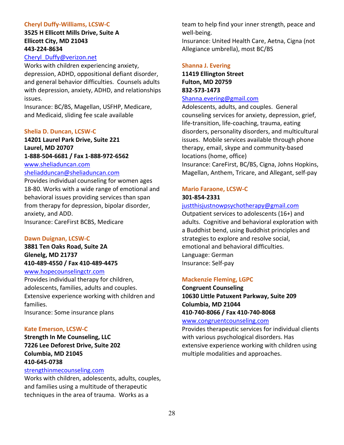# **Cheryl Duffy-Williams, LCSW-C**

# **3525 H Ellicott Mills Drive, Suite A Ellicott City, MD 21043 443-224-8634**

# [Cheryl\\_Duffy@verizon.net](mailto:Cheryl_Duffy@verizon.net)

Works with children experiencing anxiety, depression, ADHD, oppositional defiant disorder, and general behavior difficulties. Counsels adults with depression, anxiety, ADHD, and relationships issues.

Insurance: BC/BS, Magellan, USFHP, Medicare, and Medicaid, sliding fee scale available

### **Shelia D. Duncan, LCSW-C**

**14201 Laurel Park Drive, Suite 221 Laurel, MD 20707 1-888-504-6681 / Fax 1-888-972-6562** [www.sheliaduncan.com](https://www.sheliaduncan.com/)

# [sheliadduncan@sheliaduncan.com](mailto:sheliadduncan@sheliaduncan.com)

Provides individual counseling for women ages 18-80. Works with a wide range of emotional and behavioral issues providing services than span from therapy for depression, bipolar disorder, anxiety, and ADD. Insurance: CareFirst BCBS, Medicare

### **Dawn Duignan, LCSW-C**

**3881 Ten Oaks Road, Suite 2A Glenelg, MD 21737 410-489-4550 / Fax 410-489-4475** 

# [www.hopecounselingctr.com](http://www.hopecounselingctr.com/)

Provides individual therapy for children, adolescents, families, adults and couples. Extensive experience working with children and families. Insurance: Some insurance plans

# **Kate Emerson, LCSW-C**

**Strength In Me Counseling, LLC 7226 Lee Deforest Drive, Suite 202 Columbia, MD 21045 410-645-0738**

### [strengthinmecounseling.com](http://strengthinmecounseling.com/)

Works with children, adolescents, adults, couples, and families using a multitude of therapeutic techniques in the area of trauma. Works as a

team to help find your inner strength, peace and well-being.

Insurance: United Health Care, Aetna, Cigna (not Allegiance umbrella), most BC/BS

### **Shanna J. Evering**

**11419 Ellington Street Fulton, MD 20759 832-573-1473**

# [Shanna.evering@gmail.com](mailto:Shanna.evering@gmail.com)

Adolescents, adults, and couples. General counseling services for anxiety, depression, grief, life-transition, life-coaching, trauma, eating disorders, personality disorders, and multicultural issues. Mobile services available through phone therapy, email, skype and community-based locations (home, office) Insurance: CareFirst, BC/BS, Cigna, Johns Hopkins,

Magellan, Anthem, Tricare, and Allegant, self-pay

# **Mario Faraone, LCSW-C 301-854-2331**

# [justthisjustnowpsychotherapy@gmail.com](mailto:justthisjustnowpsychotherapy@gmail.com)

Outpatient services to adolescents (16+) and adults. Cognitive and behavioral exploration with a Buddhist bend, using Buddhist principles and strategies to explore and resolve social, emotional and behavioral difficulties. Language: German Insurance: Self-pay

# **Mackenzie Fleming, LGPC**

**Congruent Counseling 10630 Little Patuxent Parkway, Suite 209 Columbia, MD 21044 410-740-8066 / Fax 410-740-8068**

### [www.congruentcounseling.com](http://www.congruentcounseling.com/)

Provides therapeutic services for individual clients with various psychological disorders. Has extensive experience working with children using multiple modalities and approaches.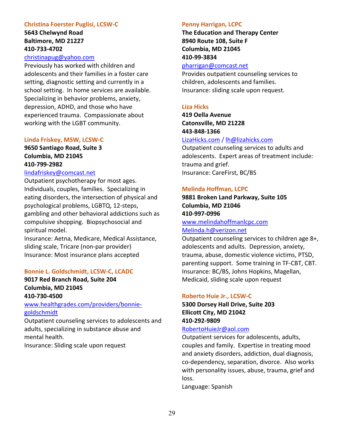### **Christina Foerster Puglisi, LCSW-C**

**5643 Chelwynd Road Baltimore, MD 21227 410-733-4702**

# [christinapug@yahoo.com](mailto:christinapug@yahoo.com)

Previously has worked with children and adolescents and their families in a foster care setting, diagnostic setting and currently in a school setting. In home services are available. Specializing in behavior problems, anxiety, depression, ADHD, and those who have experienced trauma. Compassionate about working with the LGBT community.

### **Linda Friskey, MSW, LCSW-C**

# **9650 Santiago Road, Suite 3 Columbia, MD 21045 410-799-2982**

### [lindafriskey@comcast.net](mailto:lindafriskey@comcast.net)

Outpatient psychotherapy for most ages. Individuals, couples, families. Specializing in eating disorders, the intersection of physical and psychological problems, LGBTQ, 12-steps, gambling and other behavioral addictions such as compulsive shopping. Biopsychosocial and spiritual model.

Insurance: Aetna, Medicare, Medical Assistance, sliding scale, Tricare (non-par provider) Insurance: Most insurance plans accepted

### **Bonnie L. Goldschmidt, LCSW-C, LCADC**

**9017 Red Branch Road, Suite 204 Columbia, MD 21045 410-730-4500**

# [www.healthgrades.com/providers/bonnie](http://www.healthgrades.com/providers/bonnie-goldschmidt)[goldschmidt](http://www.healthgrades.com/providers/bonnie-goldschmidt)

Outpatient counseling services to adolescents and adults, specializing in substance abuse and mental health.

Insurance: Sliding scale upon request

### **Penny Harrigan, LCPC**

**The Education and Therapy Center 8940 Route 108, Suite F Columbia, MD 21045 410-99-3834**

# [pharrigan@comcast.net](mailto:pharrigan@comcast.net)

Provides outpatient counseling services to children, adolescents and families. Insurance: sliding scale upon request.

### **Liza Hicks**

**419 Oella Avenue Catonsville, MD 21228 443-848-1366**

### [LizaHicks.com](http://lizahicks.com/) / [lh@lizahicks.com](mailto:lh@lizahicks.com)

Outpatient counseling services to adults and adolescents. Expert areas of treatment include: trauma and grief. Insurance: CareFirst, BC/BS

### **Melinda Hoffman, LCPC**

**9881 Broken Land Parkway, Suite 105 Columbia, MD 21046 410-997-0996**

### [www.melindahoffmanlcpc.com](http://www.melindahoffmanlcpc.com/) [Melinda.h@verizon.net](mailto:Melinda.h@verizon.net)

Outpatient counseling services to children age 8+, adolescents and adults. Depression, anxiety, trauma, abuse, domestic violence victims, PTSD, parenting support. Some training in TF-CBT, CBT. Insurance: BC/BS, Johns Hopkins, Magellan, Medicaid, sliding scale upon request

### **Roberto Huie Jr., LCSW-C**

**5300 Dorsey Hall Drive, Suite 203 Ellicott City, MD 21042 410-292-9809**

# [RobertoHuieJr@aol.com](mailto:RobertoHuieJr@aol.com)

Outpatient services for adolescents, adults, couples and family. Expertise in treating mood and anxiety disorders, addiction, dual diagnosis, co-dependency, separation, divorce. Also works with personality issues, abuse, trauma, grief and loss.

Language: Spanish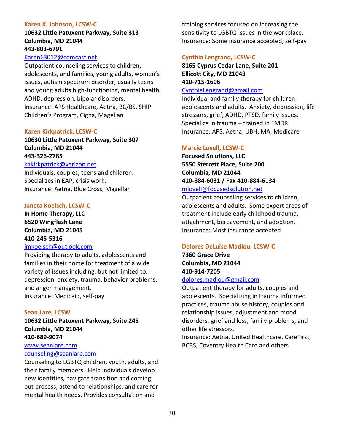### **Karen K. Johnson, LCSW-C**

# **10632 Little Patuxent Parkway, Suite 313 Columbia, MD 21044 443-803-6791**

### [Karen63012@comcast.net](mailto:Karen63012@comcast.net)

Outpatient counseling services to children, adolescents, and families, young adults, women's issues, autism spectrum disorder, usually teens and young adults high-functioning, mental health, ADHD, depression, bipolar disorders. Insurance: APS Healthcare, Aetna, BC/BS, SHIP Children's Program, Cigna, Magellan

### **Karen Kirkpatrick, LCSW-C**

# **10630 Little Patuxent Parkway, Suite 307 Columbia, MD 21044 443-326-2785**

### [kakirkpatrick@verizon.net](mailto:kakirkpatrick@verizon.net)

Individuals, couples, teens and children. Specializes in EAP, crisis work. Insurance: Aetna, Blue Cross, Magellan

### **Janeta Koelsch, LCSW-C**

**In Home Therapy, LLC 6520 Wingflash Lane Columbia, MD 21045 410-245-5316**

### [jmkoelsch@outlook.com](mailto:jmkoelsch@outlook.com)

Providing therapy to adults, adolescents and families in their home for treatment of a wide variety of issues including, but not limited to: depression, anxiety, trauma, behavior problems, and anger management. Insurance: Medicaid, self-pay

### **Sean Lare, LCSW**

**10632 Little Patuxent Parkway, Suite 245 Columbia, MD 21044 410-689-9074**

# [www.seanlare.com](http://www.seanlare.com/)

# [counseling@seanlare.com](mailto:counseling@seanlare.com)

Counseling to LGBTQ children, youth, adults, and their family members. Help individuals develop new identities, navigate transition and coming out process, attend to relationships, and care for mental health needs. Provides consultation and

training services focused on increasing the sensitivity to LGBTQ issues in the workplace. Insurance: Some insurance accepted, self-pay

### **Cynthia Lengrand, LCSW-C**

# **8165 Cyprus Cedar Lane, Suite 201 Ellicott City, MD 21043 410-715-1606**

### [CynthiaLengrand@gmail.com](mailto:CynthiaLengrand@gmail.com)

Individual and family therapy for children, adolescents and adults. Anxiety, depression, life stressors, grief, ADHD, PTSD, family issues. Specialize in trauma – trained in EMDR. Insurance: APS, Aetna, UBH, MA, Medicare

# **Marcie Lovell, LCSW-C**

**Focused Solutions, LLC 5550 Sterrett Place, Suite 200 Columbia, MD 21044 410-884-6031 / Fax 410-884-6134** 

### [mlovell@focusedsolution.net](mailto:mlovell@focusedsolution.net)

Outpatient counseling services to children, adolescents and adults. Some expert areas of treatment include early childhood trauma, attachment, bereavement, and adoption. Insurance: Most insurance accepted

### **Dolores DeLuise Madiou, LCSW-C**

**7360 Grace Drive Columbia, MD 21044 410-914-7205**

### [dolores.madiou@gmail.com](mailto:dolores@eicorp.com)

Outpatient therapy for adults, couples and adolescents. Specializing in trauma informed practices, trauma abuse history, couples and relationship issues, adjustment and mood disorders, grief and loss, family problems, and other life stressors.

Insurance: Aetna, United Healthcare, CareFirst, BCBS, Coventry Health Care and others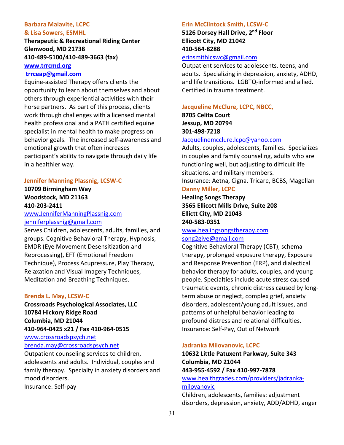# **Barbara Malavite, LCPC**

### **& Lisa Sowers, ESMHL**

**Therapeutic & Recreational Riding Center Glenwood, MD 21738 410-489-5100/410-489-3663 (fax)**

# **[www.trrcmd.org](http://www.trrcmd.org/)**

# **[trrceap@gmail.com](mailto:trrceap@gmail.com)**

Equine-assisted Therapy offers clients the opportunity to learn about themselves and about others through experiential activities with their horse partners. As part of this process, clients work through challenges with a licensed mental health professional and a PATH certified equine specialist in mental health to make progress on behavior goals. The increased self-awareness and emotional growth that often increases participant's ability to navigate through daily life in a healthier way.

### **Jennifer Manning Plassnig, LCSW-C**

**10709 Birmingham Way Woodstock, MD 21163 410-203-2411**

# [www.JenniferManningPlassnig.com](http://www.jennifermanningplassnig.com/) [jenniferplassnig@gmail.com](mailto:jenniferplassnig@gmail.com)

Serves Children, adolescents, adults, families, and groups. Cognitive Behavioral Therapy, Hypnosis, EMDR (Eye Movement Desensitization and Reprocessing), EFT (Emotional Freedom Technique), Process Acupressure, Play Therapy, Relaxation and Visual Imagery Techniques, Meditation and Breathing Techniques.

# **Brenda L. May, LCSW-C**

**Crossroads Psychological Associates, LLC 10784 Hickory Ridge Road Columbia, MD 21044 410-964-0425 x21 / Fax 410-964-0515**

[www.crossroadspsych.net](https://www.crossroadspsych.net/)

# [brenda.may@crossroadspsych.net](mailto:brenda.may@crossroadspsych.net)

Outpatient counseling services to children, adolescents and adults. Individual, couples and family therapy. Specialty in anxiety disorders and mood disorders. Insurance: Self-pay

### **Erin McClintock Smith, LCSW-C**

**5126 Dorsey Hall Drive, 2nd Floor Ellicott City, MD 21042 410-564-8288**

# [erinsmithlcswc@gmail.com](mailto:erinsmithlcswc@gmail.com)

Outpatient services to adolescents, teens, and adults. Specializing in depression, anxiety, ADHD, and life transitions. LGBTQ-informed and allied. Certified in trauma treatment.

### **Jacqueline McClure, LCPC, NBCC,**

# **8705 Celita Court Jessup, MD 20794 301-498-7218**

### [Jacquelinemcclure.lcpc@yahoo.com](mailto:Jacquelinemcclure.lcpc@yahoo.com)

Adults, couples, adolescents, families. Specializes in couples and family counseling, adults who are functioning well, but adjusting to difficult life situations, and military members. Insurance: Aetna, Cigna, Tricare, BCBS, Magellan

### **Danny Miller, LCPC**

**Healing Songs Therapy 3565 Ellicott Mills Drive, Suite 208 Ellictt City, MD 21043 240-583-0351**

# [www.healingsongstherapy.com](http://www.healingsongstherapy.com/) [song2give@gmail.com](mailto:song2give@gmail.com)

Cognitive Behavioral Therapy (CBT), schema therapy, prolonged exposure therapy, Exposure and Response Prevention (ERP), and dialectical behavior therapy for adults, couples, and young people. Specialties include acute stress caused traumatic events, chronic distress caused by longterm abuse or neglect, complex grief, anxiety disorders, adolescent/young adult issues, and patterns of unhelpful behavior leading to profound distress and relational difficulties. Insurance: Self-Pay, Out of Network

### **Jadranka Milovanovic, LCPC**

# **10632 Little Patuxent Parkway, Suite 343 Columbia, MD 21044 443-955-4592 / Fax 410-997-7878**  [www.healthgrades.com/providers/jadranka](http://www.healthgrades.com/providers/jadranka-milovanovic)[milovanovic](http://www.healthgrades.com/providers/jadranka-milovanovic)

Children, adolescents, families: adjustment disorders, depression, anxiety, ADD/ADHD, anger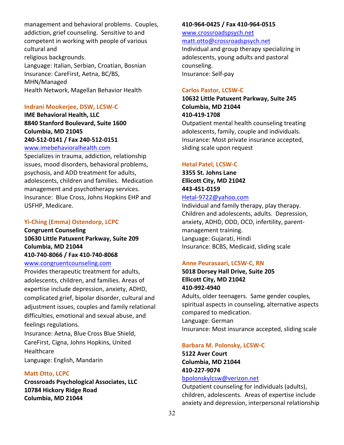management and behavioral problems. Couples, addiction, grief counseling. Sensitive to and competent in working with people of various cultural and religious backgrounds. Language: Italian, Serbian, Croatian, Bosnian Insurance: CareFirst, Aetna, BC/BS, MHN/Managed Health Network, Magellan Behavior Health

### **Indrani Mookerjee, DSW, LCSW-C**

**IME Behavioral Health, LLC 8840 Stanford Boulevard, Suite 1600 Columbia, MD 21045 240-512-0141 / Fax 240-512-0151** [www.imebehavioralhealth.com](http://www.imebehavioralhealth.com/)

Specializes in trauma, addiction, relationship issues, mood disorders, behavioral problems, psychosis, and ADD treatment for adults, adolescents, children and families. Medication management and psychotherapy services. Insurance: Blue Cross, Johns Hopkins EHP and USFHP, Medicare.

# **Yi-Ching (Emma) Ostendorp, LCPC**

**Congruent Counseling 10630 Little Patuxent Parkway, Suite 209 Columbia, MD 21044 410-740-8066 / Fax 410-740-8068**

# [www.congruentcounseling.com](http://www.congruentcounseling.com/)

Provides therapeutic treatment for adults, adolescents, children, and families. Areas of expertise include depression, anxiety, ADHD, complicated grief, bipolar disorder, cultural and adjustment issues, couples and family relational difficulties, emotional and sexual abuse, and feelings regulations.

Insurance: Aetna, Blue Cross Blue Shield, CareFirst, Cigna, Johns Hopkins, United **Healthcare** Language: English, Mandarin

### **Matt Otto, LCPC**

**Crossroads Psychological Associates, LLC 10784 Hickory Ridge Road Columbia, MD 21044**

### **410-964-0425 / Fax 410-964-0515**

# [www.crossroadspsych.net](https://www.crossroadspsych.net/) [matt.otto@crossroadspsych.net](mailto:matt.otto@outlook.com)

Individual and group therapy specializing in adolescents, young adults and pastoral counseling. Insurance: Self-pay

### **Carlos Pastor, LCSW-C**

# **10632 Little Patuxent Parkway, Suite 245 Columbia, MD 21044 410-419-1708**

Outpatient mental health counseling treating adolescents, family, couple and individuals. Insurance: Most private insurance accepted, sliding scale upon request

### **Hetal Patel, LCSW-C**

**3355 St. Johns Lane Ellicott City, MD 21042 443-451-0159**

# [Hetal-9722@yahoo.com](mailto:Hetal-9722@yahoo.com)

Individual and family therapy, play therapy. Children and adolescents, adults. Depression, anxiety, ADHD, ODD, OCD, infertility, parentmanagement training. Language: Gujarati, Hindi Insurance: BCBS, Medicaid, sliding scale

### **Anne Peurasaari, LCSW-C, RN**

# **5018 Dorsey Hall Drive, Suite 205 Ellicott City, MD 21042 410-992-4940**

Adults, older teenagers. Same gender couples, spiritual aspects in counseling, alternative aspects compared to medication. Language: German Insurance: Most insurance accepted, sliding scale

#### **Barbara M. Polonsky, LCSW-C**

**5122 Aver Court Columbia, MD 21044 410-227-9074**

# [bpolonskylcsw@verizon.net](mailto:bpolonskylcsw@verizon.net)

Outpatient counseling for individuals (adults), children, adolescents. Areas of expertise include anxiety and depression, interpersonal relationship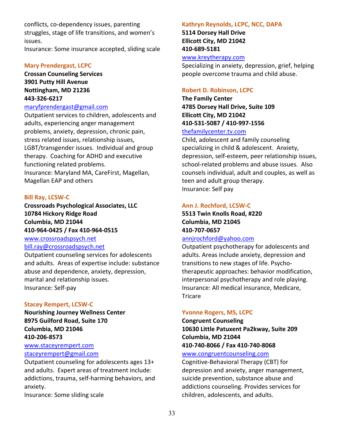conflicts, co-dependency issues, parenting struggles, stage of life transitions, and women's issues.

Insurance: Some insurance accepted, sliding scale

### **Mary Prendergast, LCPC**

**Crossan Counseling Services 3901 Putty Hill Avenue Nottingham, MD 21236 443-326-6217**

### [maryfprendergast@gmail.com](mailto:maryfprendergast@gmail.com)

Outpatient services to children, adolescents and adults, experiencing anger management problems, anxiety, depression, chronic pain, stress related issues, relationship issues, LGBT/transgender issues. Individual and group therapy. Coaching for ADHD and executive functioning related problems. Insurance: Maryland MA, CareFirst, Magellan, Magellan EAP and others

### **Bill Ray, LCSW-C**

**Crossroads Psychological Associates, LLC 10784 Hickory Ridge Road Columbia, MD 21044 410-964-0425 / Fax 410-964-0515** [www.crossroadspsych.net](https://www.crossroadspsych.net/) [bill.ray@crossroadspsych.net](mailto:bill.ray@crossroadspsych.net)

Outpatient counseling services for adolescents and adults. Areas of expertise include: substance abuse and dependence, anxiety, depression, marital and relationship issues. Insurance: Self-pay

### **Stacey Rempert, LCSW-C**

**Nourishing Journey Wellness Center 8975 Guilford Road, Suite 170 Columbia, MD 21046 410-206-8573**

### [www.staceyrempert.com](http://www.staceyrempert.com/) [staceyrempert@gmail.com](mailto:staceyrempert@gmail.com)

Outpatient counseling for adolescents ages 13+ and adults. Expert areas of treatment include: addictions, trauma, self-harming behaviors, and anxiety.

Insurance: Some sliding scale

### **Kathryn Reynolds, LCPC, NCC, DAPA**

**5114 Dorsey Hall Drive Ellicott City, MD 21042 410-689-5181** [www.kreytherapy.com](http://www.kreytherapy.com/)

Specializing in anxiety, depression, grief, helping people overcome trauma and child abuse.

# **Robert D. Robinson, LCPC**

**The Family Center 4785 Dorsey Hall Drive, Suite 109 Ellicott City, MD 21042 410-531-5087 / 410-997-1556** [thefamilycenter.tv.com](mailto:thefamilycenter@TV.com)

Child, adolescent and family counseling specializing in child & adolescent. Anxiety, depression, self-esteem, peer relationship issues, school-related problems and abuse issues. Also counsels individual, adult and couples, as well as teen and adult group therapy. Insurance: Self pay

### **Ann J. Rochford, LCSW-C**

**5513 Twin Knolls Road, #220 Columbia, MD 21045 410-707-0657**

# [annjrochford@yahoo.com](mailto:annjrochford@yahoo.com)

Outpatient psychotherapy for adolescents and adults. Areas include anxiety, depression and transitions to new stages of life. Psychotherapeutic approaches: behavior modification, interpersonal psychotherapy and role playing. Insurance: All medical insurance, Medicare, **Tricare** 

### **Yvonne Rogers, MS, LCPC**

**Congruent Counseling 10630 Little Patuxent Pa2kway, Suite 209 Columbia, MD 21044 410-740-8066 / Fax 410-740-8068**

# [www.congruentcounseling.com](http://www.congruentcounseling.com/)

Cognitive-Behavioral Therapy (CBT) for depression and anxiety, anger management, suicide prevention, substance abuse and addictions counseling. Provides services for children, adolescents, and adults.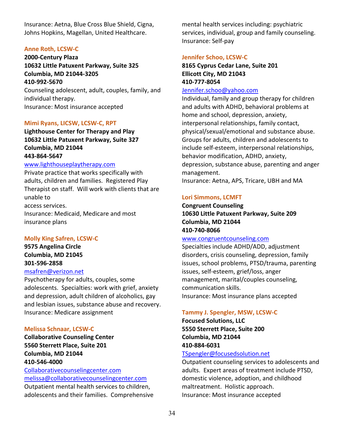Insurance: Aetna, Blue Cross Blue Shield, Cigna, Johns Hopkins, Magellan, United Healthcare.

### **Anne Roth, LCSW-C**

**2000-Century Plaza 10632 Little Patuxent Parkway, Suite 325 Columbia, MD 21044-3205 410-992-5670** Counseling adolescent, adult, couples, family, and

individual therapy. Insurance: Most insurance accepted

### **Mimi Ryans, LICSW, LCSW-C, RPT**

**Lighthouse Center for Therapy and Play 10632 Little Patuxent Parkway, Suite 327 Columbia, MD 21044**

# **443-864-5647**

# [www.lighthouseplaytherapy.com](http://www.lighthouseplaytherapy.com/)

Private practice that works specifically with adults, children and families. Registered Play Therapist on staff. Will work with clients that are unable to access services. Insurance: Medicaid, Medicare and most insurance plans

### **Molly King Safren, LCSW-C**

**9575 Angelina Circle Columbia, MD 21045 301-596-2858** [msafren@verizon.net](mailto:msafren@verizon.net)

Psychotherapy for adults, couples, some adolescents. Specialties: work with grief, anxiety and depression, adult children of alcoholics, gay and lesbian issues, substance abuse and recovery. Insurance: Medicare assignment

### **Melissa Schnaar, LCSW-C**

**Collaborative Counseling Center 5560 Sterrett Place, Suite 201 Columbia, MD 21044 410-546-4000**

[Collaborativecounselingcenter.com](http://www.collaborativecounselingcenter.com/) [melissa@collaborativecounselingcenter.com](mailto:melissa@collaborativecounselingcenter.com) Outpatient mental health services to children,

adolescents and their families. Comprehensive

mental health services including: psychiatric services, individual, group and family counseling. Insurance: Self-pay

#### **Jennifer Schoo, LCSW-C**

# **8165 Cyprus Cedar Lane, Suite 201 Ellicott City, MD 21043 410-777-8054**

# [Jennifer.schoo@yahoo.com](mailto:Jennifer.schoo@yahoo.com)

Individual, family and group therapy for children and adults with ADHD, behavioral problems at home and school, depression, anxiety, interpersonal relationships, family contact, physical/sexual/emotional and substance abuse. Groups for adults, children and adolescents to include self-esteem, interpersonal relationships, behavior modification, ADHD, anxiety, depression, substance abuse, parenting and anger management.

Insurance: Aetna, APS, Tricare, UBH and MA

### **Lori Simmons, LCMFT**

**Congruent Counseling 10630 Little Patuxent Parkway, Suite 209 Columbia, MD 21044 410-740-8066**

#### [www.congruentcounseling.com](http://www.congruentcounseling.com/)

Specialties include ADHD/ADD, adjustment disorders, crisis counseling, depression, family issues, school problems, PTSD/trauma, parenting issues, self-esteem, grief/loss, anger management, marital/couples counseling, communication skills. Insurance: Most insurance plans accepted

#### **Tammy J. Spengler, MSW, LCSW-C**

**Focused Solutions, LLC 5550 Sterrett Place, Suite 200 Columbia, MD 21044 410-884-6031**

# [TSpengler@focusedsolution.net](mailto:TSpengler@focusedsolution.net)

Outpatient counseling services to adolescents and adults. Expert areas of treatment include PTSD, domestic violence, adoption, and childhood maltreatment. Holistic approach. Insurance: Most insurance accepted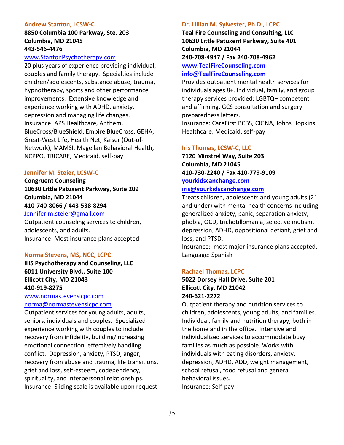### **Andrew Stanton, LCSW-C**

# **8850 Columbia 100 Parkway, Ste. 203 Columbia, MD 21045 443-546-4476**

# [www.StantonPsychotherapy.com](http://www.stantonpsychotherapy.com/)

20 plus years of experience providing individual, couples and family therapy. Specialties include children/adolescents, substance abuse, trauma, hypnotherapy, sports and other performance improvements. Extensive knowledge and experience working with ADHD, anxiety, depression and managing life changes. Insurance: APS Healthcare, Anthem, BlueCross/BlueShield, Empire BlueCross, GEHA, Great-West Life, Health Net, Kaiser (Out-of-Network), MAMSI, Magellan Behavioral Health, NCPPO, TRICARE, Medicaid, self-pay

### **Jennifer M. Steier, LCSW-C**

**Congruent Counseling 10630 Little Patuxent Parkway, Suite 209 Columbia, MD 21044 410-740-8066 / 443-538-8294**

# [Jennifer.m.steier@gmail.com](mailto:Jennifer.m.steier@gmail.com)

Outpatient counseling services to children, adolescents, and adults. Insurance: Most insurance plans accepted

### **Norma Stevens, MS, NCC, LCPC**

**IHS Psychotherapy and Counseling, LLC 6011 University Blvd., Suite 100 Ellicott City, MD 21043 410-919-8275**

# [www.normastevenslcpc.com](http://www.normastevenslcpc.com/) [norma@normastevenslcpc.com](mailto:norma@normastevenslcpc.com)

Outpatient services for young adults, adults, seniors, individuals and couples. Specialized experience working with couples to include recovery from infidelity, building/increasing emotional connection, effectively handling conflict. Depression, anxiety, PTSD, anger, recovery from abuse and trauma, life transitions, grief and loss, self-esteem, codependency, spirituality, and interpersonal relationships. Insurance: Sliding scale is available upon request

### **Dr. Lillian M. Sylvester, Ph.D., LCPC**

**Teal Fire Counseling and Consulting, LLC 10630 Little Patuxent Parkway, Suite 401 Columbia, MD 21044 240-708-4947 / Fax 240-708-4962**

# **[www.TealFireCounseling.com](http://www.tealfirecounseling.com/) [info@TealFireCounseling.com](mailto:info@TealFireCounseling.com)**

Provides outpatient mental health services for individuals ages 8+. Individual, family, and group therapy services provided; LGBTQ+ competent and affirming. GCS consultation and surgery preparedness letters.

Insurance: CareFirst BCBS, CIGNA, Johns Hopkins Healthcare, Medicaid, self-pay

### **Iris Thomas, LCSW-C, LLC**

**7120 Minstrel Way, Suite 203 Columbia, MD 21045 410-730-2240 / Fax 410-779-9109 [yourkidscanchange.com](http://www.yourkidscanchange.com/)**

# **[iris@yourkidscanchange.com](mailto:iris@yourkidscanchange.com)**

Treats children, adolescents and young adults (21 and under) with mental health concerns including generalized anxiety, panic, separation anxiety, phobia, OCD, trichotillomania, selective mutism, depression, ADHD, oppositional defiant, grief and loss, and PTSD.

Insurance: most major insurance plans accepted. Language: Spanish

### **Rachael Thomas, LCPC**

# **5022 Dorsey Hall Drive, Suite 201 Ellicott City, MD 21042 240-621-2272**

Outpatient therapy and nutrition services to children, adolescents, young adults, and families. Individual, family and nutrition therapy, both in the home and in the office. Intensive and individualized services to accommodate busy families as much as possible. Works with individuals with eating disorders, anxiety, depression, ADHD, ADD, weight management, school refusal, food refusal and general behavioral issues. Insurance: Self-pay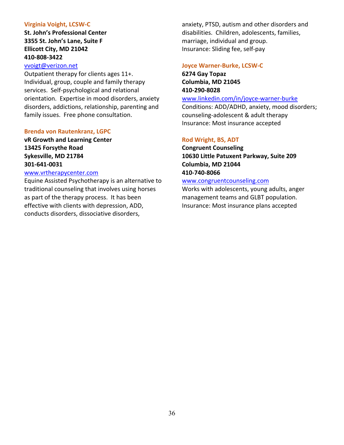### **Virginia Voight, LCSW-C**

**St. John's Professional Center 3355 St. John's Lane, Suite F Ellicott City, MD 21042 410-808-3422**

### [vvoigt@verizon.net](mailto:vvoigt@verizon.net)

Outpatient therapy for clients ages 11+. Individual, group, couple and family therapy services. Self-psychological and relational orientation. Expertise in mood disorders, anxiety disorders, addictions, relationship, parenting and family issues. Free phone consultation.

### **Brenda von Rautenkranz, LGPC**

**vR Growth and Learning Center 13425 Forsythe Road Sykesville, MD 21784 301-641-0031**

# [www.vrtherapycenter.com](http://vrtherapycenter.com/)

Equine Assisted Psychotherapy is an alternative to traditional counseling that involves using horses as part of the therapy process. It has been effective with clients with depression, ADD, conducts disorders, dissociative disorders,

anxiety, PTSD, autism and other disorders and disabilities. Children, adolescents, families, marriage, individual and group. Insurance: Sliding fee, self-pay

### **Joyce Warner-Burke, LCSW-C**

**6274 Gay Topaz Columbia, MD 21045 410-290-8028**

[www.linkedin.com/in/joyce-warner-burke](http://www.linkedin.com/in/joyce-warner-burke)

Conditions: ADD/ADHD, anxiety, mood disorders; counseling-adolescent & adult therapy Insurance: Most insurance accepted

### **Rod Wright, BS, ADT**

**Congruent Counseling 10630 Little Patuxent Parkway, Suite 209 Columbia, MD 21044 410-740-8066**

# [www.congruentcounseling.com](http://www.congruentcounseling.com/)

Works with adolescents, young adults, anger management teams and GLBT population. Insurance: Most insurance plans accepted